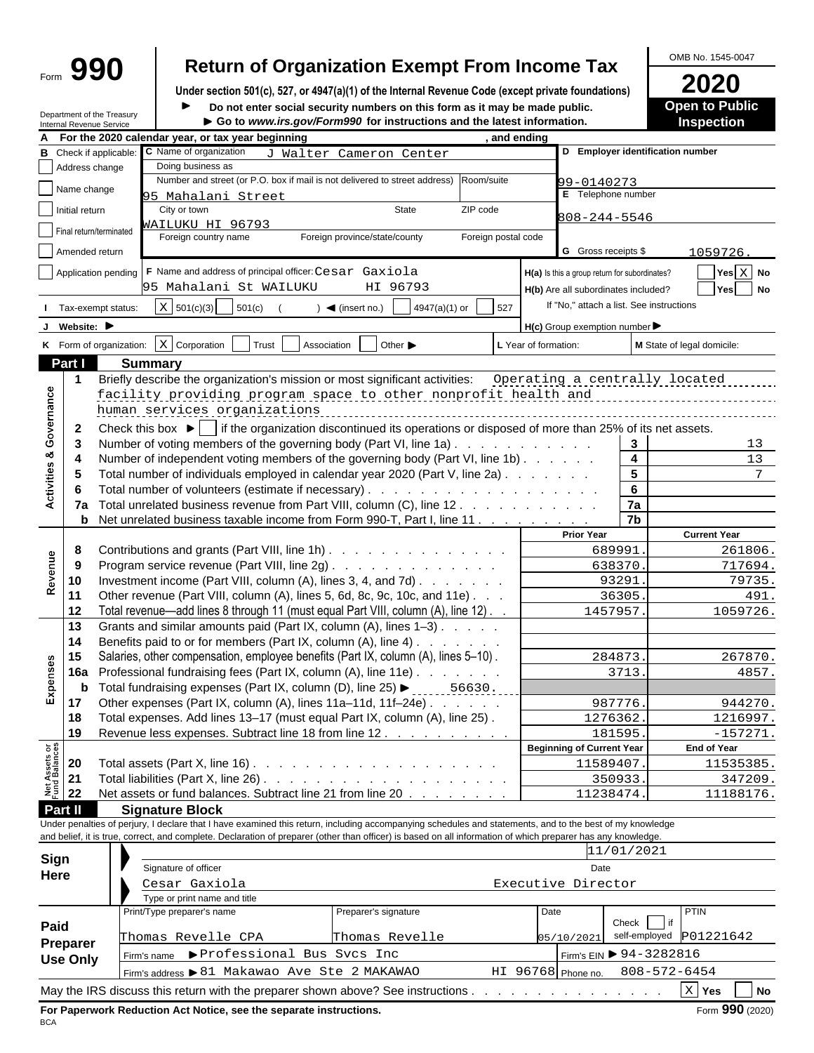# Form  $\left\{ \bigoplus_{\text{Form}} \bigoplus_{\text{Under section 501(c). 527. or 4947(a)(1) of the Internal Revenue Code (except private foundations)} \right\}$   $\left\{ \bigoplus_{\text{Under section 501(c). 527. or 4947(a)(1) of the Internal Revenue Code (except private foundations)} \right\}$   $\left\{ \bigoplus_{\text{Order set 545-00}} \bigoplus_{\text{Order set 545-00}} \bigoplus_{\text{Order set 545-00}} \bigoplus_{\text{Order set 545-00}} \bigoplus_{\text{Order set 545-00}} \bigoplus_{\text$

OMB No. 1545-0047

**Open to Public**

**Under section 501(c), 527, or 4947(a)(1) of the Internal Revenue Code (except private foundations) 2020**

**Department of the Treasury Department of the Treasury Department of the Treasury Department of the Treasury Department of the Treasury** 

| <b>Internal Revenue Service</b>       | ► Go to www.irs.gov/Form990 for instructions and the latest information.                                                                                     |                                                     |                                | Inspection                                         |
|---------------------------------------|--------------------------------------------------------------------------------------------------------------------------------------------------------------|-----------------------------------------------------|--------------------------------|----------------------------------------------------|
|                                       | For the 2020 calendar year, or tax year beginning<br>. and ending                                                                                            |                                                     |                                |                                                    |
| Check if applicabl                    | C Name of organization<br>J Walter Cameron Center                                                                                                            | D Employer identification number                    |                                |                                                    |
| Address change                        | Doing business as                                                                                                                                            |                                                     |                                |                                                    |
| Name change                           | Number and street (or P.O. box if mail is not delivered to street address)<br>Room/suite                                                                     | 99-0140273                                          |                                |                                                    |
|                                       | 95 Mahalani Street                                                                                                                                           | E Telephone number                                  |                                |                                                    |
| Initial return                        | State<br>ZIP code<br>City or town                                                                                                                            | 808-244-5546                                        |                                |                                                    |
| Final return/terminated               | WAILUKU HI 96793                                                                                                                                             |                                                     |                                |                                                    |
|                                       | Foreign postal code<br>Foreign country name<br>Foreign province/state/county                                                                                 |                                                     |                                |                                                    |
| Amended return                        |                                                                                                                                                              | G Gross receipts \$                                 |                                | 1059726.                                           |
|                                       | Application pending   F Name and address of principal officer: Cesar Gaxiola                                                                                 | H(a) Is this a group return for subordinates?       |                                | $\sqrt{\mathsf{Yes} \mathsf{X}}$ No                |
|                                       | 95 Mahalani St WAILUKU<br>HI 96793                                                                                                                           | H(b) Are all subordinates included?                 |                                | $\boxed{\phantom{1}}$ Yes $\boxed{\phantom{1}}$ No |
|                                       |                                                                                                                                                              | If "No," attach a list. See instructions            |                                |                                                    |
| Tax-exempt status:                    | $X$ 501(c)(3) 501(c)<br>$\frac{1}{2}$ 4947(a)(1) or $\frac{1}{2}$ 527<br>$\bullet$ (insert no.)                                                              |                                                     |                                |                                                    |
| Website: $\blacktriangleright$        |                                                                                                                                                              | $H(c)$ Group exemption number $\blacktriangleright$ |                                |                                                    |
|                                       | K Form of organization: $X$ Corporation $T$ Trust Association Other $\blacktriangleright$                                                                    | L Year of formation:                                |                                | M State of legal domicile:                         |
| Part I                                | <b>Summary</b>                                                                                                                                               |                                                     |                                |                                                    |
|                                       | Briefly describe the organization's mission or most significant activities:                                                                                  |                                                     |                                |                                                    |
|                                       |                                                                                                                                                              | Operating a centrally located                       |                                |                                                    |
|                                       | facility providing program space to other nonprofit health and                                                                                               |                                                     |                                |                                                    |
|                                       | human services organizations                                                                                                                                 |                                                     |                                |                                                    |
| $\overline{2}$                        | Check this box $\blacktriangleright$ if the organization discontinued its operations or disposed of more than 25% of its net assets.                         |                                                     |                                |                                                    |
| မိ<br>3                               | Number of voting members of the governing body (Part VI, line 1a). .                                                                                         | and the company of the second                       | $\mathbf{3}$                   | 13                                                 |
|                                       | Number of independent voting members of the governing body (Part VI, line 1b)                                                                                |                                                     | $\overline{4}$                 | 13                                                 |
| -5                                    | Total number of individuals employed in calendar year 2020 (Part V, line 2a)                                                                                 |                                                     | 5                              | $7\overline{ }$                                    |
| 6                                     |                                                                                                                                                              |                                                     | 6                              |                                                    |
|                                       | 7a Total unrelated business revenue from Part VIII, column (C), line 12.                                                                                     |                                                     | 7a                             |                                                    |
|                                       | <b>b</b> Net unrelated business taxable income from Form 990-T, Part I, line 11                                                                              |                                                     | 7 <sub>b</sub>                 |                                                    |
|                                       |                                                                                                                                                              | <b>Prior Year</b>                                   |                                | <b>Current Year</b>                                |
|                                       | Contributions and grants (Part VIII, line 1h)                                                                                                                | 689991                                              |                                | 261806.                                            |
| 9                                     | Program service revenue (Part VIII, line 2g)                                                                                                                 | 638370                                              |                                | 717694.                                            |
| 10                                    | Investment income (Part VIII, column (A), lines 3, 4, and 7d)                                                                                                | 93291                                               |                                | 79735.                                             |
| Rev<br>11                             | Other revenue (Part VIII, column (A), lines 5, 6d, 8c, 9c, 10c, and 11e).                                                                                    | 36305                                               |                                | 491.                                               |
|                                       |                                                                                                                                                              |                                                     |                                |                                                    |
| 12                                    | Total revenue—add lines 8 through 11 (must equal Part VIII, column (A), line 12). .                                                                          | 1457957                                             |                                | 1059726.                                           |
| 13                                    | Grants and similar amounts paid (Part IX, column (A), lines 1-3)                                                                                             |                                                     |                                |                                                    |
| 14                                    | Benefits paid to or for members (Part IX, column (A), line 4)                                                                                                |                                                     |                                |                                                    |
| 15∣ مِ                                | Salaries, other compensation, employee benefits (Part IX, column (A), lines 5-10).                                                                           | 284873                                              |                                | 267870.                                            |
|                                       | 16a Professional fundraising fees (Part IX, column (A), line 11e)                                                                                            |                                                     | 3713                           | 4857.                                              |
|                                       | <b>b</b> Total fundraising expenses (Part IX, column (D), line 25) $\blacktriangleright$ ______56630.                                                        |                                                     |                                |                                                    |
| 17                                    | Other expenses (Part IX, column (A), lines 11a-11d, 11f-24e)                                                                                                 | 987776                                              |                                | 944270                                             |
| ∣ 18                                  | Total expenses. Add lines 13-17 (must equal Part IX, column (A), line 25).                                                                                   | 1276362.                                            |                                | 1216997.                                           |
|                                       | 19 Revenue less expenses. Subtract line 18 from line 12.                                                                                                     | 181595                                              |                                | $-157271.$                                         |
|                                       |                                                                                                                                                              | <b>Beginning of Current Year</b>                    |                                | End of Year                                        |
| t Assets or<br>d Balances<br>21<br>21 | Total assets (Part X, line 16) $\ldots$ $\ldots$ $\ldots$ $\ldots$ $\ldots$ $\ldots$ $\ldots$ $\ldots$                                                       | 11589407                                            |                                | 11535385.                                          |
|                                       |                                                                                                                                                              | 350933                                              |                                | 347209.                                            |
| 22                                    | Net assets or fund balances. Subtract line 21 from line 20                                                                                                   | 11238474                                            |                                | 11188176.                                          |
| Part II                               | <b>Signature Block</b>                                                                                                                                       |                                                     |                                |                                                    |
|                                       | Under penalties of perjury, I declare that I have examined this return, including accompanying schedules and statements, and to the best of my knowledge     |                                                     |                                |                                                    |
|                                       | and belief, it is true, correct, and complete. Declaration of preparer (other than officer) is based on all information of which preparer has any knowledge. |                                                     |                                |                                                    |
|                                       |                                                                                                                                                              |                                                     | 11/01/2021                     |                                                    |
| Sign                                  | Signature of officer                                                                                                                                         | Date                                                |                                |                                                    |
| Here                                  |                                                                                                                                                              |                                                     |                                |                                                    |
|                                       | Cesar Gaxiola                                                                                                                                                | Executive Director                                  |                                |                                                    |
|                                       | Type or print name and title                                                                                                                                 |                                                     |                                |                                                    |
|                                       | Print/Type preparer's name<br>Preparer's signature                                                                                                           | Date                                                | Check $\boxed{\phantom{0}}$ if | PTIN                                               |
| Paid<br><b>Dronoror</b>               | Thomas Revelle CPA<br>Thomas Revelle                                                                                                                         | 05/10/2021                                          |                                | self-employed P01221642                            |
|                                       |                                                                                                                                                              |                                                     |                                |                                                    |

| Preparer        | Thomas Revelle CPA                                                                 | Thomas Revelle |                                 | $05/10/2021$ self-employed P01221642   |
|-----------------|------------------------------------------------------------------------------------|----------------|---------------------------------|----------------------------------------|
| <b>Use Only</b> | Firm's name > Professional Bus Svcs Inc                                            |                |                                 | Firm's EIN $\triangleright$ 94-3282816 |
|                 | $\left  \right $ Firm's address $\blacktriangleright$ 81 Makawao Ave Ste 2 MAKAWAO |                | HI 96768 Phone no. 808-572-6454 |                                        |
|                 | May the IRS discuss this return with the preparer shown above? See instructions.   |                |                                 | X Yes<br>$\blacksquare$ No             |

L.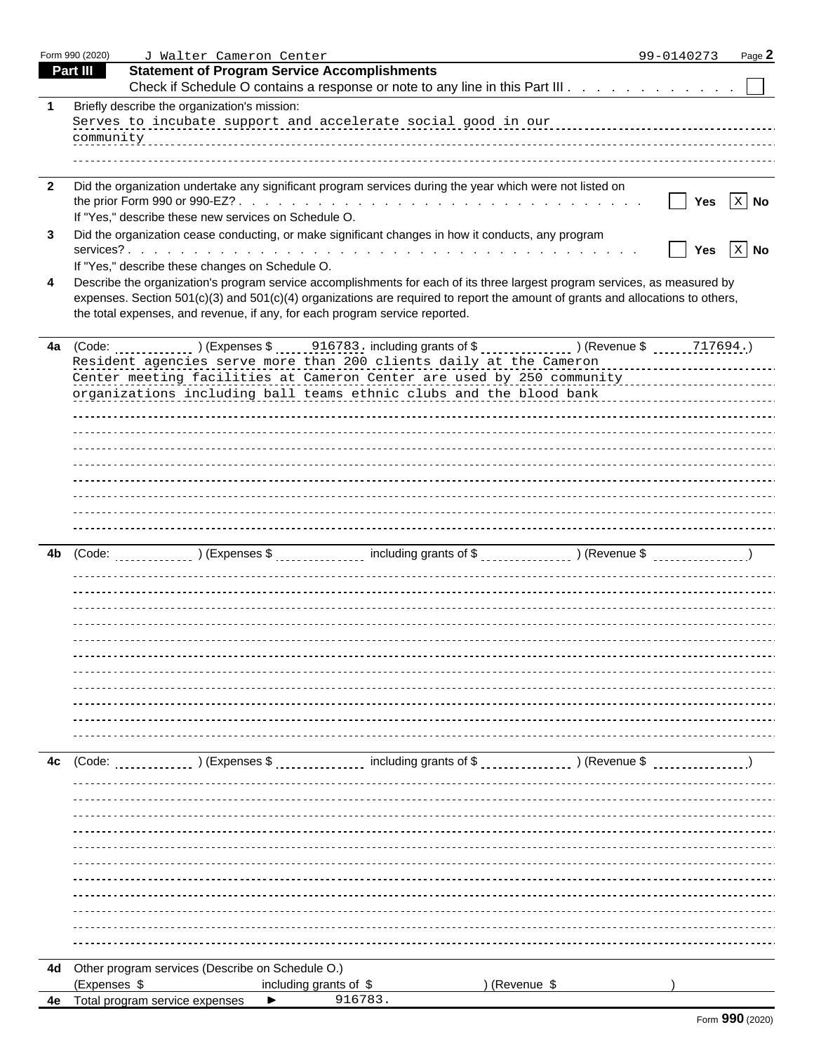|              | Form 990 (2020) | J Walter Cameron Center                                                                                                        | 99-0140273       | Page 2  |
|--------------|-----------------|--------------------------------------------------------------------------------------------------------------------------------|------------------|---------|
|              | <b>Part III</b> | <b>Statement of Program Service Accomplishments</b>                                                                            |                  |         |
|              |                 | Check if Schedule O contains a response or note to any line in this Part III                                                   |                  |         |
|              |                 | Briefly describe the organization's mission:                                                                                   |                  |         |
|              |                 | Serves to incubate support and accelerate social good in our measurement control of the support of the serves                  |                  |         |
|              |                 |                                                                                                                                |                  |         |
|              |                 |                                                                                                                                |                  |         |
|              |                 |                                                                                                                                |                  |         |
| $\mathbf{2}$ |                 | Did the organization undertake any significant program services during the year which were not listed on                       |                  |         |
|              |                 |                                                                                                                                |                  |         |
|              |                 | If "Yes," describe these new services on Schedule O.                                                                           |                  |         |
| 3            |                 | Did the organization cease conducting, or make significant changes in how it conducts, any program                             |                  |         |
|              |                 |                                                                                                                                |                  | X No    |
|              |                 | If "Yes," describe these changes on Schedule O.                                                                                |                  |         |
| 4            |                 | Describe the organization's program service accomplishments for each of its three largest program services, as measured by     |                  |         |
|              |                 | expenses. Section 501(c)(3) and 501(c)(4) organizations are required to report the amount of grants and allocations to others, |                  |         |
|              |                 | the total expenses, and revenue, if any, for each program service reported.                                                    |                  |         |
|              |                 |                                                                                                                                |                  |         |
|              | 4a (Code:       | ) (Revenue \$<br>) (Expenses \$<br>. <u>.</u> .                                                                                |                  | 717694. |
|              |                 | Resident agencies serve more than 200 clients daily at the Cameron                                                             |                  |         |
|              |                 | Center meeting facilities at Cameron Center are used by 250 community                                                          |                  |         |
|              |                 | organizations including ball teams ethnic clubs and the blood bank                                                             |                  |         |
|              |                 |                                                                                                                                |                  |         |
|              |                 |                                                                                                                                |                  |         |
|              |                 |                                                                                                                                |                  |         |
|              |                 |                                                                                                                                |                  |         |
|              |                 |                                                                                                                                |                  |         |
|              |                 |                                                                                                                                |                  |         |
|              |                 |                                                                                                                                |                  |         |
|              |                 |                                                                                                                                |                  |         |
| 4b           | (Code:          | ) (Revenue \$                                                                                                                  |                  |         |
|              |                 | ) (Expenses \$<br>----------------<br>.                                                                                        | ---------------- |         |
|              |                 |                                                                                                                                |                  |         |
|              |                 |                                                                                                                                |                  |         |
|              |                 |                                                                                                                                |                  |         |
|              |                 |                                                                                                                                |                  |         |
|              |                 |                                                                                                                                |                  |         |
|              |                 |                                                                                                                                |                  |         |
|              |                 |                                                                                                                                |                  |         |
|              |                 |                                                                                                                                |                  |         |
|              |                 |                                                                                                                                |                  |         |
|              |                 |                                                                                                                                |                  |         |
|              |                 |                                                                                                                                |                  |         |
|              | 4c (Code:       | ) (Expenses \$<br>) (Revenue \$                                                                                                |                  |         |
|              |                 | ----------------                                                                                                               |                  |         |
|              |                 |                                                                                                                                |                  |         |
|              |                 |                                                                                                                                |                  |         |
|              |                 |                                                                                                                                |                  |         |
|              |                 |                                                                                                                                |                  |         |
|              |                 |                                                                                                                                |                  |         |
|              |                 |                                                                                                                                |                  |         |
|              |                 |                                                                                                                                |                  |         |
|              |                 |                                                                                                                                |                  |         |
|              |                 |                                                                                                                                |                  |         |
|              |                 |                                                                                                                                |                  |         |
|              |                 |                                                                                                                                |                  |         |
|              |                 | 4d Other program services (Describe on Schedule O.)                                                                            |                  |         |
|              | (Expenses \$    | ) (Revenue \$<br>including grants of \$                                                                                        |                  |         |
|              |                 | 916783<br>Total program service expenses                                                                                       |                  |         |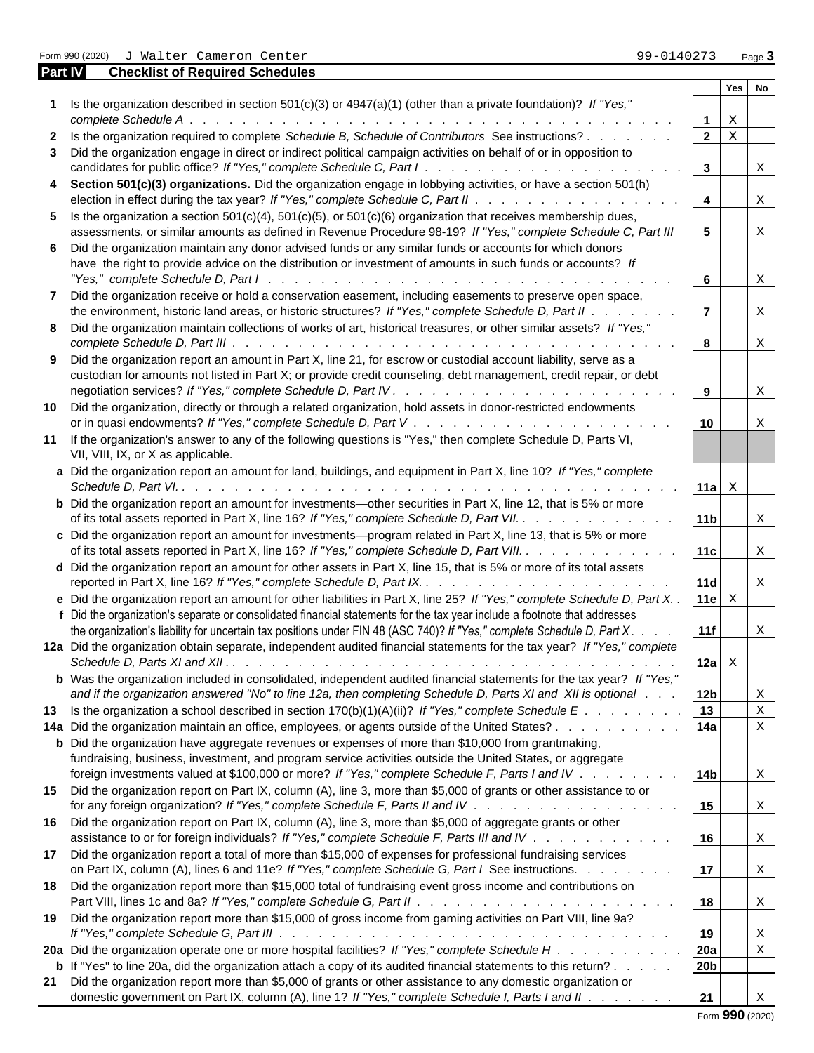Form 990 (2020) J Walter Cameron Center **1990 (2020)** J Walter Cameron Center 990-0140273

| Part IV | <b>Checklist of Required Schedules</b>                                                                                       |                                       |                           |  |
|---------|------------------------------------------------------------------------------------------------------------------------------|---------------------------------------|---------------------------|--|
|         |                                                                                                                              |                                       | Yes No                    |  |
|         | Is the organization described in section 501(c)(3) or $4947(a)(1)$ (other than a private foundation)? If "Yes,"              |                                       |                           |  |
|         |                                                                                                                              |                                       | $\mathbf{X}$              |  |
|         | 2 Is the organization required to complete Schedule B, Schedule of Contributors See instructions?                            | $2 \mid x$                            |                           |  |
|         | 3 Did the organization engage in direct or indirect political campaign activities on behalf of or in opposition to           |                                       |                           |  |
|         |                                                                                                                              | $\overline{\mathbf{3}}$               | $\boldsymbol{\mathrm{X}}$ |  |
|         | 4 Section 501(c)(3) organizations. Did the organization engage in lobbying activities, or have a section 501(h)              |                                       |                           |  |
|         |                                                                                                                              | $\overline{\mathbf{4}}$               | X                         |  |
|         | 5 Is the organization a section $501(c)(4)$ , $501(c)(5)$ , or $501(c)(6)$ organization that receives membership dues,       |                                       |                           |  |
|         | assessments, or similar amounts as defined in Revenue Procedure 98-19? If "Yes," complete Schedule C, Part III               | 5 <sub>5</sub>                        | X                         |  |
|         | 6 Did the organization maintain any donor advised funds or any similar funds or accounts for which donors                    |                                       |                           |  |
|         | have the right to provide advice on the distribution or investment of amounts in such funds or accounts? If                  |                                       |                           |  |
|         |                                                                                                                              | $6\overline{6}$                       | $\mathbf{x}$              |  |
|         |                                                                                                                              |                                       |                           |  |
|         | 7 Did the organization receive or hold a conservation easement, including easements to preserve open space,                  |                                       |                           |  |
|         | the environment, historic land areas, or historic structures? If "Yes," complete Schedule D, Part II                         | $\overline{7}$                        | $\boldsymbol{\mathrm{X}}$ |  |
|         | 8 Did the organization maintain collections of works of art, historical treasures, or other similar assets? If "Yes,"        |                                       |                           |  |
|         |                                                                                                                              | 8                                     | X                         |  |
|         | 9 Did the organization report an amount in Part X, line 21, for escrow or custodial account liability, serve as a            |                                       |                           |  |
|         | custodian for amounts not listed in Part X; or provide credit counseling, debt management, credit repair, or debt            |                                       |                           |  |
|         |                                                                                                                              | $\overline{9}$                        | X                         |  |
|         | 10 Did the organization, directly or through a related organization, hold assets in donor-restricted endowments              |                                       |                           |  |
|         |                                                                                                                              | 10                                    | $\mathbf x$               |  |
|         | 11 If the organization's answer to any of the following questions is "Yes," then complete Schedule D, Parts VI,              |                                       |                           |  |
|         | VII, VIII, IX, or X as applicable.                                                                                           |                                       |                           |  |
|         | a Did the organization report an amount for land, buildings, and equipment in Part X, line 10? If "Yes," complete            |                                       |                           |  |
|         |                                                                                                                              | $ 11a  \times$                        |                           |  |
|         | <b>b</b> Did the organization report an amount for investments—other securities in Part X, line 12, that is 5% or more       |                                       |                           |  |
|         |                                                                                                                              | 11b                                   |                           |  |
|         | of its total assets reported in Part X, line 16? If "Yes," complete Schedule D, Part VII.                                    |                                       | $\boldsymbol{\mathrm{X}}$ |  |
|         | c Did the organization report an amount for investments—program related in Part X, line 13, that is 5% or more               |                                       |                           |  |
|         | of its total assets reported in Part X, line 16? If "Yes," complete Schedule D, Part VIII.                                   | 11c                                   | $\mathbf{x}$              |  |
|         | d Did the organization report an amount for other assets in Part X, line 15, that is 5% or more of its total assets          |                                       |                           |  |
|         |                                                                                                                              | 11d                                   | X                         |  |
|         | e Did the organization report an amount for other liabilities in Part X, line 25? If "Yes," complete Schedule D, Part X. .   | 11e $\vert$ $\boldsymbol{\mathrm{x}}$ |                           |  |
|         | f Did the organization's separate or consolidated financial statements for the tax year include a footnote that addresses    |                                       |                           |  |
|         | the organization's liability for uncertain tax positions under FIN 48 (ASC 740)? If "Yes," complete Schedule D, Part X. .    | 11f                                   | $\boldsymbol{\mathrm{X}}$ |  |
|         | 12a Did the organization obtain separate, independent audited financial statements for the tax year? If "Yes," complete      |                                       |                           |  |
|         |                                                                                                                              | 12a $\boldsymbol{X}$                  |                           |  |
|         | <b>b</b> Was the organization included in consolidated, independent audited financial statements for the tax year? If "Yes," |                                       |                           |  |
|         |                                                                                                                              |                                       |                           |  |
|         | and if the organization answered "No" to line 12a, then completing Schedule D, Parts XI and XII is optional.                 | 12 <sub>b</sub>                       | X                         |  |
|         | 13 Is the organization a school described in section 170(b)(1)(A)(ii)? If "Yes," complete Schedule E                         | $\vert$ 13                            | $\mathbf X$               |  |
|         | 14a Did the organization maintain an office, employees, or agents outside of the United States?                              | 14a                                   | $\mathbf X$               |  |
|         | <b>b</b> Did the organization have aggregate revenues or expenses of more than \$10,000 from grantmaking,                    |                                       |                           |  |
|         | fundraising, business, investment, and program service activities outside the United States, or aggregate                    |                                       |                           |  |
|         | foreign investments valued at \$100,000 or more? If "Yes," complete Schedule F, Parts I and IV                               | 14 <sub>b</sub>                       | $\mathbf{X}$              |  |
|         | 15 Did the organization report on Part IX, column (A), line 3, more than \$5,000 of grants or other assistance to or         |                                       |                           |  |
|         |                                                                                                                              | 15                                    | Χ                         |  |
|         | 16 Did the organization report on Part IX, column (A), line 3, more than \$5,000 of aggregate grants or other                |                                       |                           |  |
|         | assistance to or for foreign individuals? If "Yes," complete Schedule F, Parts III and IV                                    | 16                                    | X                         |  |
|         | 17 Did the organization report a total of more than \$15,000 of expenses for professional fundraising services               |                                       |                           |  |
|         |                                                                                                                              |                                       |                           |  |
|         | on Part IX, column (A), lines 6 and 11e? If "Yes," complete Schedule G, Part I See instructions.                             | 17                                    | Χ                         |  |
|         | 18 Did the organization report more than \$15,000 total of fundraising event gross income and contributions on               |                                       |                           |  |
|         |                                                                                                                              | 18                                    | Χ                         |  |
|         | 19 Did the organization report more than \$15,000 of gross income from gaming activities on Part VIII, line 9a?              |                                       |                           |  |
|         |                                                                                                                              | 19                                    | Χ                         |  |
|         | 20a Did the organization operate one or more hospital facilities? If "Yes," complete Schedule H                              | <b>20a</b>                            | $\mathbf X$               |  |
|         | <b>b</b> If "Yes" to line 20a, did the organization attach a copy of its audited financial statements to this return?        | 20b                                   |                           |  |
|         | 21 Did the organization report more than \$5,000 of grants or other assistance to any domestic organization or               |                                       |                           |  |
|         | domestic government on Part IX, column (A), line 1? If "Yes," complete Schedule I, Parts I and II                            | 21                                    | X                         |  |

Form **990** (2020)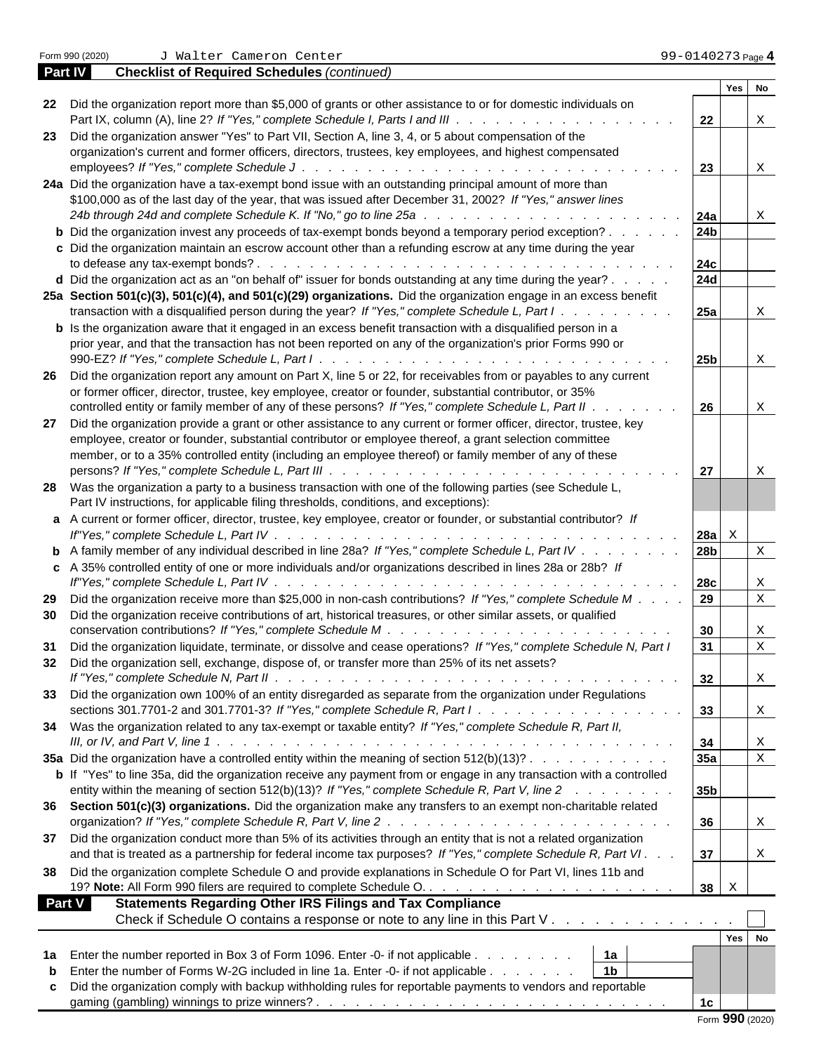|                                                                                                                                                           |                     | No<br>Yes    |             |
|-----------------------------------------------------------------------------------------------------------------------------------------------------------|---------------------|--------------|-------------|
| 22 Did the organization report more than \$5,000 of grants or other assistance to or for domestic individuals on                                          |                     |              |             |
|                                                                                                                                                           | 22                  | $\mathbf X$  |             |
| 23 Did the organization answer "Yes" to Part VII, Section A, line 3, 4, or 5 about compensation of the                                                    |                     |              |             |
| organization's current and former officers, directors, trustees, key employees, and highest compensated                                                   |                     |              |             |
|                                                                                                                                                           | 23                  | X            |             |
| 24a Did the organization have a tax-exempt bond issue with an outstanding principal amount of more than                                                   |                     |              |             |
| \$100,000 as of the last day of the year, that was issued after December 31, 2002? If "Yes," answer lines                                                 |                     |              |             |
|                                                                                                                                                           | 24a                 | X            |             |
| <b>b</b> Did the organization invest any proceeds of tax-exempt bonds beyond a temporary period exception?                                                | 24 <sub>b</sub>     |              |             |
| c Did the organization maintain an escrow account other than a refunding escrow at any time during the year                                               |                     |              |             |
| to defease any tax-exempt bonds?                                                                                                                          | <b>24c</b>          |              |             |
| <b>d</b> Did the organization act as an "on behalf of" issuer for bonds outstanding at any time during the year? $\ldots$                                 | <b>24d</b>          |              |             |
| 25a Section 501(c)(3), 501(c)(4), and 501(c)(29) organizations. Did the organization engage in an excess benefit                                          |                     |              |             |
| transaction with a disqualified person during the year? If "Yes," complete Schedule L, Part I.                                                            | 25a                 | Χ            |             |
| <b>b</b> Is the organization aware that it engaged in an excess benefit transaction with a disqualified person in a                                       |                     |              |             |
| prior year, and that the transaction has not been reported on any of the organization's prior Forms 990 or                                                |                     |              |             |
| 990-EZ? If "Yes," complete Schedule L, Part I                                                                                                             | 25 <sub>b</sub>     | X            |             |
| 26 Did the organization report any amount on Part X, line 5 or 22, for receivables from or payables to any current                                        |                     |              |             |
|                                                                                                                                                           |                     |              |             |
| or former officer, director, trustee, key employee, creator or founder, substantial contributor, or 35%                                                   |                     |              |             |
| controlled entity or family member of any of these persons? If "Yes," complete Schedule L, Part II.                                                       | 26                  | $\mathbf X$  |             |
| 27 Did the organization provide a grant or other assistance to any current or former officer, director, trustee, key                                      |                     |              |             |
| employee, creator or founder, substantial contributor or employee thereof, a grant selection committee                                                    |                     |              |             |
| member, or to a 35% controlled entity (including an employee thereof) or family member of any of these                                                    |                     |              |             |
|                                                                                                                                                           | 27                  | X            |             |
| 28 Was the organization a party to a business transaction with one of the following parties (see Schedule L,                                              |                     |              |             |
| Part IV instructions, for applicable filing thresholds, conditions, and exceptions):                                                                      |                     |              |             |
| a A current or former officer, director, trustee, key employee, creator or founder, or substantial contributor? If                                        |                     |              |             |
|                                                                                                                                                           | $28a$ X             |              |             |
| <b>b</b> A family member of any individual described in line 28a? If "Yes," complete Schedule L, Part IV                                                  | 28 <sub>b</sub>     |              | X           |
| c A 35% controlled entity of one or more individuals and/or organizations described in lines 28a or 28b? If                                               |                     |              |             |
|                                                                                                                                                           |                     |              |             |
| If"Yes," complete Schedule L, Part IV.<br>the contract of the contract of the contract of the contract of the contract of the contract of the contract of | <b>28c</b>          | Χ            |             |
| 29 Did the organization receive more than \$25,000 in non-cash contributions? If "Yes," complete Schedule M.                                              | 29                  |              | $\mathbf X$ |
| 30 Did the organization receive contributions of art, historical treasures, or other similar assets, or qualified                                         |                     |              |             |
| conservation contributions? If "Yes," complete Schedule M<br>a caracteristic and a caracteristic and a caracteristic                                      | 30                  | X            |             |
| 31 Did the organization liquidate, terminate, or dissolve and cease operations? If "Yes," complete Schedule N, Part I                                     | 31                  |              | $\mathbf X$ |
| 32 Did the organization sell, exchange, dispose of, or transfer more than 25% of its net assets?                                                          |                     |              |             |
|                                                                                                                                                           | 32                  | $\mathbf{A}$ |             |
| 33 Did the organization own 100% of an entity disregarded as separate from the organization under Regulations                                             |                     |              |             |
| sections 301.7701-2 and 301.7701-3? If "Yes," complete Schedule R, Part $1 \ldots \ldots \ldots \ldots \ldots$                                            |                     | $\mathbf X$  |             |
|                                                                                                                                                           |                     |              |             |
| 34 Was the organization related to any tax-exempt or taxable entity? If "Yes," complete Schedule R, Part II,                                              |                     |              |             |
|                                                                                                                                                           | 34                  | X            |             |
| 35a Did the organization have a controlled entity within the meaning of section 512(b)(13)?                                                               | 35a                 |              | $\mathbf X$ |
| <b>b</b> If "Yes" to line 35a, did the organization receive any payment from or engage in any transaction with a controlled                               |                     |              |             |
| entity within the meaning of section 512(b)(13)? If "Yes," complete Schedule R, Part V, line 2                                                            | 35 <sub>b</sub>     |              |             |
| 36 Section 501(c)(3) organizations. Did the organization make any transfers to an exempt non-charitable related                                           |                     |              |             |
|                                                                                                                                                           | 36                  | $\mathbf{X}$ |             |
| 37 Did the organization conduct more than 5% of its activities through an entity that is not a related organization                                       |                     |              |             |
| and that is treated as a partnership for federal income tax purposes? If "Yes," complete Schedule R, Part VI.                                             | 37                  | $\,$ X       |             |
|                                                                                                                                                           |                     |              |             |
| 38 Did the organization complete Schedule O and provide explanations in Schedule O for Part VI, lines 11b and                                             |                     |              |             |
|                                                                                                                                                           | $38 \quad \text{X}$ |              |             |
| <b>Part V</b><br><b>Statements Regarding Other IRS Filings and Tax Compliance</b>                                                                         |                     |              |             |
| Check if Schedule O contains a response or note to any line in this Part V.                                                                               |                     |              |             |
|                                                                                                                                                           |                     | Yes No       |             |
| 1a Enter the number reported in Box 3 of Form 1096. Enter -0- if not applicable<br>1a                                                                     |                     |              |             |
| 1 <sub>b</sub><br><b>b</b> Enter the number of Forms W-2G included in line 1a. Enter -0- if not applicable                                                |                     |              |             |
|                                                                                                                                                           |                     |              |             |
| c Did the organization comply with backup withholding rules for reportable payments to vendors and reportable                                             |                     |              |             |
|                                                                                                                                                           | 1 <sub>c</sub>      |              |             |

**Part IV Checklist of Required Schedules** *(continued)*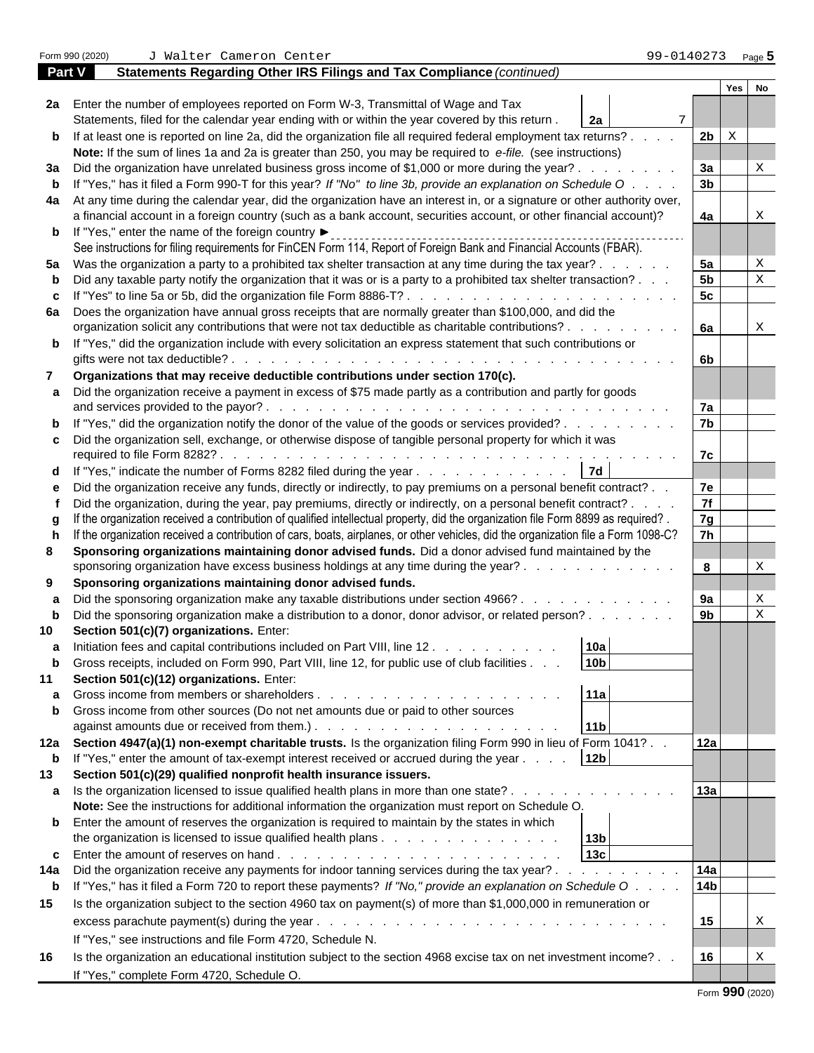Form 990 (2020) J Walter Cameron Center 99-0140273 <sub>Page</sub> <mark>5</mark> **Part V Statements Regarding Other IRS Filings and Tax Compliance** *(continued)* **Yes No 2a** Enter the number of employees reported on Form W-3, Transmittal of Wage and Tax Statements, filed for the calendar year ending with or within the year covered by this return . **2a b** If at least one is reported on line 2a, did the organization file all required federal employment tax returns? . . . . | 2b | X **Note:** If the sum of lines 1a and 2a is greater than 250, you may be required to *e-file.* (see instructions) **3a** Did the organization have unrelated business gross income of \$1,000 or more during the year? . . . . . . . . . **3a** | X **b** If "Yes," has it filed a Form 990-T for this year? *If "No" to line 3b, provide an explanation on Schedule O* . . . . **3b 4a** At any time during the calendar year, did the organization have an interest in, or a signature or other authority over, a financial account in a foreign country (such as a bank account, securities account, or other financial account)? **4a b** If "Yes," enter the name of the foreign country See instructions for filing requirements for FinCEN Form 114, Report of Foreign Bank and Financial Accounts (FBAR). **5a** Was the organization a party to a prohibited tax shelter transaction at any time during the tax year? . . . . . . **5a b** Did any taxable party notify the organization that it was or is a party to a prohibited tax shelter transaction? . . .  $\begin{vmatrix} 5b \end{vmatrix} \begin{vmatrix} x \\ y \end{vmatrix}$ **c** If "Yes" to line 5a or 5b, did the organization file Form 8886-T? . . . . . . . . . . . . . . . . . . . . . **5c 6a** Does the organization have annual gross receipts that are normally greater than \$100,000, and did the organization solicit any contributions that were not tax deductible as charitable contributions? . . . . . . . . . **6a b** If "Yes," did the organization include with every solicitation an express statement that such contributions or gifts were not tax deductible? . . . . . . . . . . . . . . . . . . . . . . . . . . . . . . . . . . **6b 7 Organizations that may receive deductible contributions under section 170(c). a** Did the organization receive a payment in excess of \$75 made partly as a contribution and partly for goods and services provided to the payor? . . . . . . . . . . . . . . . . . . . . . . . . . . . . . . . **7a b** If "Yes," did the organization notify the donor of the value of the goods or services provided? . . . . . . . . . . . . 7b **c** Did the organization sell, exchange, or otherwise dispose of tangible personal property for which it was required to file Form 8282? . . . . . . . . . . . . . . . . . . . . . . . . . . . . . . . . . . . **7c d** If "Yes," indicate the number of Forms 8282 filed during the year . . . . . . . . . . . . . . 7d **e** Did the organization receive any funds, directly or indirectly, to pay premiums on a personal benefit contract? . . **7e f** Did the organization, during the year, pay premiums, directly or indirectly, on a personal benefit contract? . . . . **7f g** If the organization received a contribution of qualified intellectual property, did the organization file Form 8899 as required? . **7g h** If the organization received a contribution of cars, boats, airplanes, or other vehicles, did the organization file a Form 1098-C? **7h 8 Sponsoring organizations maintaining donor advised funds.** Did a donor advised fund maintained by the sponsoring organization have excess business holdings at any time during the year? . . . . . . . . . . . . . **8** |  $\vert$  X **9 Sponsoring organizations maintaining donor advised funds. a** Did the sponsoring organization make any taxable distributions under section 4966? . . . . . . . . . . . . . 9a | | X **b** Did the sponsoring organization make a distribution to a donor, donor advisor, or related person? . . . . . . . . 9b | | X **10 Section 501(c)(7) organizations.** Enter: **a** Initiation fees and capital contributions included on Part VIII, line 12 . . . . . . . . . . . 10a **b** Gross receipts, included on Form 990, Part VIII, line 12, for public use of club facilities . . . **10b 11 Section 501(c)(12) organizations.** Enter: **a** Gross income from members or shareholders . . . . . . . . . . . . . . . . . . . **11a b** Gross income from other sources (Do not net amounts due or paid to other sources against amounts due or received from them.) . . . . . . . . . . . . . . . . . . . **11b 12a Section 4947(a)(1) non-exempt charitable trusts.** Is the organization filing Form 990 in lieu of Form 1041? . . **12a b** If "Yes," enter the amount of tax-exempt interest received or accrued during the year . . . . **12b 13 Section 501(c)(29) qualified nonprofit health insurance issuers. a** Is the organization licensed to issue qualified health plans in more than one state? . . . . . . . . . . . . . . . 13a **Note:** See the instructions for additional information the organization must report on Schedule O. **b** Enter the amount of reserves the organization is required to maintain by the states in which the organization is licensed to issue qualified health plans . . . . . . . . . . . . . . **13b c** Enter the amount of reserves on hand . . . . . . . . . . . . . . . . . . . . . . **13c 14a** Did the organization receive any payments for indoor tanning services during the tax year? . . . . . . . . . . **14a b** If "Yes," has it filed a Form 720 to report these payments? *If "No," provide an explanation on Schedule O* . . . . **14b 15** Is the organization subject to the section 4960 tax on payment(s) of more than \$1,000,000 in remuneration or excess parachute payment(s) during the year . . . . . . . . . . . . . . . . . . . . . . . . . . . **15** If "Yes," see instructions and file Form 4720, Schedule N. **16** Is the organization an educational institution subject to the section 4968 excise tax on net investment income? . . **16** If "Yes," complete Form 4720, Schedule O. 7 | | | X X X X X X X X X X X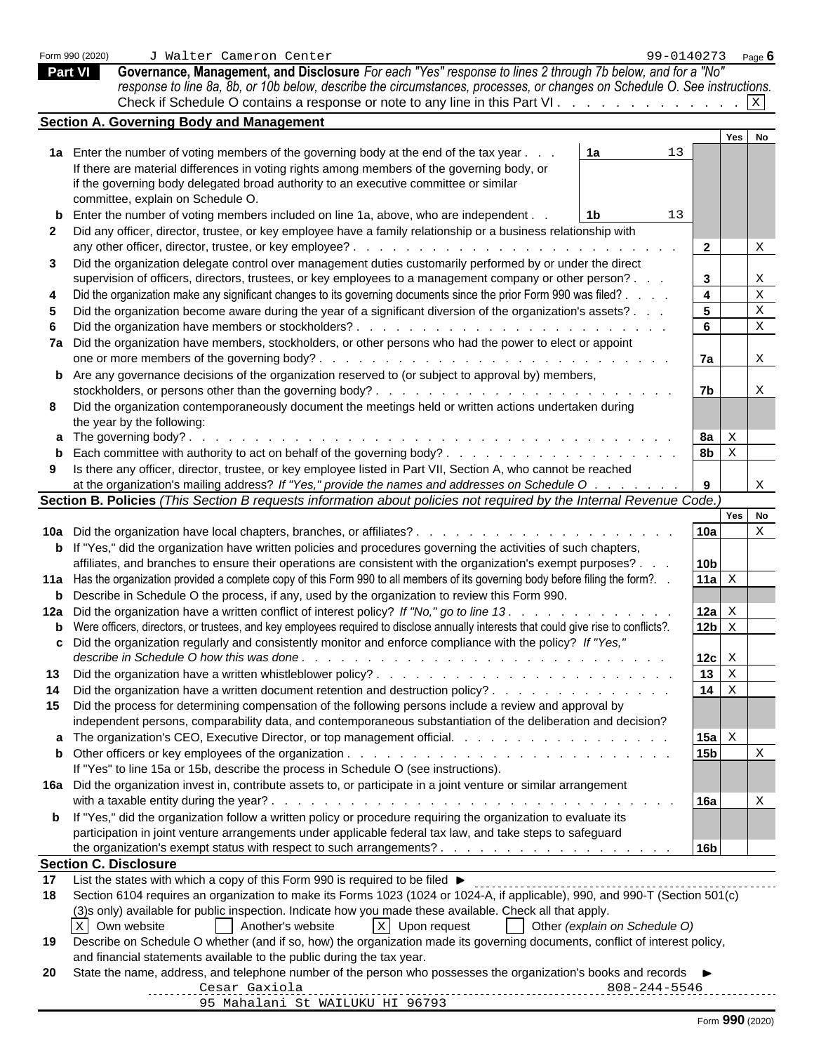|  | Form 990 (2020) |
|--|-----------------|
|  |                 |

**Part VI Governance, Management, and Disclosure** *For each "Yes" response to lines 2 through 7b below, and for a "No" response to line 8a, 8b, or 10b below, describe the circumstances, processes, or changes on Schedule O. See instructions.* Check if Schedule O contains a response or note to any line in this Part VI .  $\ldots$  . . . . . . . . . . . .  $\mathbb{X}$ X

|    | Section A. Governing Body and Management                                                                                                      |                                            |             |                           |  |
|----|-----------------------------------------------------------------------------------------------------------------------------------------------|--------------------------------------------|-------------|---------------------------|--|
|    |                                                                                                                                               |                                            | Yes No      |                           |  |
|    | 1a Enter the number of voting members of the governing body at the end of the tax year.<br>1a<br>13                                           |                                            |             |                           |  |
|    | If there are material differences in voting rights among members of the governing body, or                                                    |                                            |             |                           |  |
|    | if the governing body delegated broad authority to an executive committee or similar                                                          |                                            |             |                           |  |
|    | committee, explain on Schedule O.                                                                                                             |                                            |             |                           |  |
|    | <b>b</b> Enter the number of voting members included on line 1a, above, who are independent.<br>13<br>1b.                                     |                                            |             |                           |  |
|    | 2 Did any officer, director, trustee, or key employee have a family relationship or a business relationship with                              |                                            |             |                           |  |
|    |                                                                                                                                               | $\overline{2}$                             |             | X                         |  |
| 3  | Did the organization delegate control over management duties customarily performed by or under the direct                                     |                                            |             |                           |  |
|    | supervision of officers, directors, trustees, or key employees to a management company or other person?                                       |                                            |             |                           |  |
|    |                                                                                                                                               | $3^{\circ}$                                |             | X                         |  |
|    | Did the organization make any significant changes to its governing documents since the prior Form 990 was filed?.                             | $\overline{\mathbf{4}}$                    |             | $\mathbf X$               |  |
|    | Did the organization become aware during the year of a significant diversion of the organization's assets?.                                   | 5 <sub>5</sub>                             |             | $\mathbf X$               |  |
|    |                                                                                                                                               | $6\overline{6}$                            |             | $\mathbf X$               |  |
|    | 7a Did the organization have members, stockholders, or other persons who had the power to elect or appoint                                    |                                            |             |                           |  |
|    |                                                                                                                                               | 7a                                         |             | X                         |  |
|    | <b>b</b> Are any governance decisions of the organization reserved to (or subject to approval by) members,                                    |                                            |             |                           |  |
|    |                                                                                                                                               | 7 <sub>b</sub>                             |             | X                         |  |
|    | 8 Did the organization contemporaneously document the meetings held or written actions undertaken during                                      |                                            |             |                           |  |
|    | the year by the following:                                                                                                                    |                                            |             |                           |  |
|    | a The governing body?.                                                                                                                        | 8a $\vert$ $\boldsymbol{\mathsf{x}}$       |             |                           |  |
|    |                                                                                                                                               | 8 <sub>b</sub>                             | $\mathbf X$ |                           |  |
|    | Is there any officer, director, trustee, or key employee listed in Part VII, Section A, who cannot be reached                                 |                                            |             |                           |  |
|    | at the organization's mailing address? If "Yes," provide the names and addresses on Schedule O                                                | 9                                          |             | $\boldsymbol{\mathrm{X}}$ |  |
|    | Section B. Policies (This Section B requests information about policies not required by the Internal Revenue Code.)                           |                                            |             |                           |  |
|    |                                                                                                                                               |                                            | Yes No      |                           |  |
|    | <b>10a</b> Did the organization have local chapters, branches, or affiliates?                                                                 | 10a                                        |             | $\mathbf X$               |  |
|    | <b>b</b> If "Yes," did the organization have written policies and procedures governing the activities of such chapters,                       |                                            |             |                           |  |
|    |                                                                                                                                               | 10 <sub>b</sub>                            |             |                           |  |
|    | affiliates, and branches to ensure their operations are consistent with the organization's exempt purposes?.                                  |                                            |             |                           |  |
|    | 11a Has the organization provided a complete copy of this Form 990 to all members of its governing body before filing the form?. .            | 11a $\mathbf{x}$                           |             |                           |  |
|    | <b>b</b> Describe in Schedule O the process, if any, used by the organization to review this Form 990.                                        |                                            |             |                           |  |
|    | 12a Did the organization have a written conflict of interest policy? If "No," go to line 13. .                                                | 12a $\mathbf{x}$                           |             |                           |  |
|    | <b>b</b> Were officers, directors, or trustees, and key employees required to disclose annually interests that could give rise to conflicts?. | $12b \times$                               |             |                           |  |
|    | c Did the organization regularly and consistently monitor and enforce compliance with the policy? If "Yes,"                                   |                                            |             |                           |  |
|    |                                                                                                                                               | $12c \, \overline{\phantom{a}} \times$     |             |                           |  |
|    |                                                                                                                                               | $13 \mid X$                                |             |                           |  |
| 14 | Did the organization have a written document retention and destruction policy?                                                                | $14 \mid x$                                |             |                           |  |
|    | 15 Did the process for determining compensation of the following persons include a review and approval by                                     |                                            |             |                           |  |
|    | independent persons, comparability data, and contemporaneous substantiation of the deliberation and decision?                                 |                                            |             |                           |  |
|    | a The organization's CEO, Executive Director, or top management official.                                                                     | 15a $\vert$ $\boldsymbol{\mathsf{x}}\vert$ |             |                           |  |
|    |                                                                                                                                               | 15 <sub>b</sub>                            |             | X                         |  |
|    | If "Yes" to line 15a or 15b, describe the process in Schedule O (see instructions).                                                           |                                            |             |                           |  |
|    |                                                                                                                                               |                                            |             |                           |  |
|    | 16a Did the organization invest in, contribute assets to, or participate in a joint venture or similar arrangement                            |                                            |             |                           |  |
|    |                                                                                                                                               | 16a                                        |             | X                         |  |
|    | <b>b</b> If "Yes," did the organization follow a written policy or procedure requiring the organization to evaluate its                       |                                            |             |                           |  |
|    | participation in joint venture arrangements under applicable federal tax law, and take steps to safeguard                                     |                                            |             |                           |  |
|    |                                                                                                                                               | 16b                                        |             |                           |  |
|    | <b>Section C. Disclosure</b>                                                                                                                  |                                            |             |                           |  |
| 17 | List the states with which a copy of this Form 990 is required to be filed ▶                                                                  |                                            |             |                           |  |
| 18 | Section 6104 requires an organization to make its Forms 1023 (1024 or 1024-A, if applicable), 990, and 990-T (Section 501(c)                  |                                            |             |                           |  |
|    | (3) sonly) available for public inspection. Indicate how you made these available. Check all that apply.                                      |                                            |             |                           |  |
|    | $x$ Upon request<br>X Own website<br>Another's website<br>Other (explain on Schedule O)                                                       |                                            |             |                           |  |
| 19 | Describe on Schedule O whether (and if so, how) the organization made its governing documents, conflict of interest policy,                   |                                            |             |                           |  |
|    | and financial statements available to the public during the tax year.                                                                         |                                            |             |                           |  |
| 20 | State the name, address, and telephone number of the person who possesses the organization's books and records ▶                              |                                            |             |                           |  |
|    |                                                                                                                                               |                                            |             |                           |  |
|    | 95 Mahalani St WAILUKU HI 96793                                                                                                               |                                            |             |                           |  |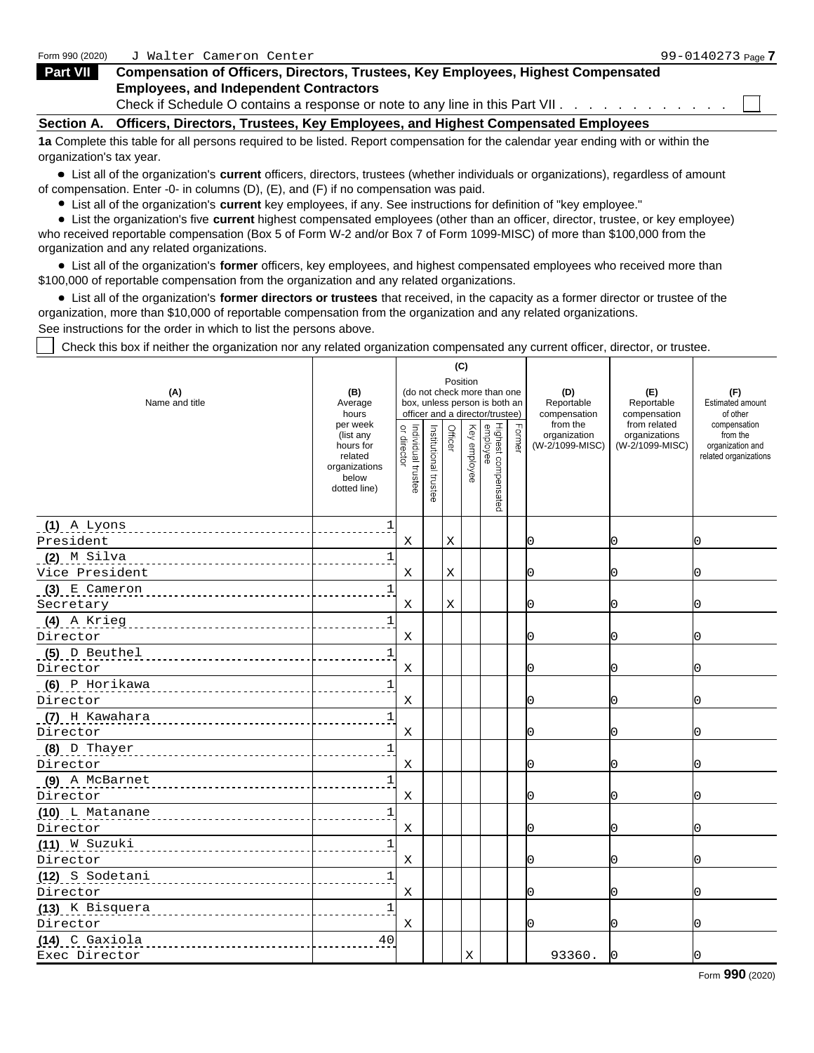| Form 990 (2020)   | Walter Cameron Center                                                                    | 99-0140273 Page 7 |
|-------------------|------------------------------------------------------------------------------------------|-------------------|
| Part VII          | <b>Compensation of Officers, Directors, Trustees, Key Employees, Highest Compensated</b> |                   |
|                   | <b>Employees, and Independent Contractors</b>                                            |                   |
|                   | Check if Schedule O contains a response or note to any line in this Part VII.            |                   |
| <b>Section A.</b> | . Officers, Directors, Trustees, Key Employees, and Highest Compensated Employees        |                   |

**1a** Complete this table for all persons required to be listed. Report compensation for the calendar year ending with or within the organization's tax year.

List all of the organization's **current** officers, directors, trustees (whether individuals or organizations), regardless of amount of compensation. Enter -0- in columns (D), (E), and (F) if no compensation was paid.

List all of the organization's **current** key employees, if any. See instructions for definition of "key employee."

List the organization's five **current** highest compensated employees (other than an officer, director, trustee, or key employee) who received reportable compensation (Box 5 of Form W-2 and/or Box 7 of Form 1099-MISC) of more than \$100,000 from the organization and any related organizations.

List all of the organization's **former** officers, key employees, and highest compensated employees who received more than \$100,000 of reportable compensation from the organization and any related organizations.

List all of the organization's **former directors or trustees** that received, in the capacity as a former director or trustee of the organization, more than \$10,000 of reportable compensation from the organization and any related organizations.

See instructions for the order in which to list the persons above.

Check this box if neither the organization nor any related organization compensated any current officer, director, or trustee.

|                                                                                                                                                                                                                                     |                                                                                         |                           |                       | (C)      |                                                                                                 |                                             |                                                  |                                                                       |
|-------------------------------------------------------------------------------------------------------------------------------------------------------------------------------------------------------------------------------------|-----------------------------------------------------------------------------------------|---------------------------|-----------------------|----------|-------------------------------------------------------------------------------------------------|---------------------------------------------|--------------------------------------------------|-----------------------------------------------------------------------|
| (A)<br>Name and title                                                                                                                                                                                                               | (B)<br>Average<br>hours                                                                 |                           |                       | Position | (do not check more than one<br>box, unless person is both an<br>officer and a director/trustee) | (D)<br>Reportable<br>compensation           | (E)<br>Reportable<br>compensation                | (F)<br>Estimated amount<br>of other                                   |
|                                                                                                                                                                                                                                     | per week<br>(list any<br>hours for<br>related<br>organizations<br>below<br>dotted line) | $\Rightarrow$             | Institutional trustee | 유        | Highest comper<br>employee<br>Rey employee<br>$\frac{1}{6}$                                     | from the<br>organization<br>(W-2/1099-MISC) | from related<br>organizations<br>(W-2/1099-MISC) | compensation<br>from the<br>organization and<br>related organizations |
| $(1)$ A Lyons                                                                                                                                                                                                                       |                                                                                         |                           |                       |          |                                                                                                 |                                             |                                                  |                                                                       |
| President                                                                                                                                                                                                                           |                                                                                         | X                         |                       |          |                                                                                                 |                                             |                                                  |                                                                       |
| <u>(2) M Silva </u>                                                                                                                                                                                                                 | ------------                                                                            |                           |                       |          |                                                                                                 |                                             |                                                  |                                                                       |
| Vice President                                                                                                                                                                                                                      |                                                                                         | X                         |                       |          |                                                                                                 |                                             |                                                  |                                                                       |
| $(3)$ E Cameron                                                                                                                                                                                                                     |                                                                                         |                           |                       |          |                                                                                                 |                                             |                                                  |                                                                       |
| Secretary                                                                                                                                                                                                                           | -------------                                                                           | X                         |                       |          |                                                                                                 |                                             |                                                  |                                                                       |
| (4) A Krieg                                                                                                                                                                                                                         |                                                                                         |                           |                       |          |                                                                                                 |                                             |                                                  |                                                                       |
| Director                                                                                                                                                                                                                            |                                                                                         | $\boldsymbol{\mathrm{X}}$ |                       |          |                                                                                                 |                                             |                                                  |                                                                       |
| (5) D Beuthel                                                                                                                                                                                                                       |                                                                                         |                           |                       |          |                                                                                                 |                                             |                                                  |                                                                       |
| Director                                                                                                                                                                                                                            |                                                                                         | X                         |                       |          |                                                                                                 |                                             |                                                  |                                                                       |
| $(6)$ P Horikawa                                                                                                                                                                                                                    |                                                                                         |                           |                       |          |                                                                                                 |                                             |                                                  |                                                                       |
| Director                                                                                                                                                                                                                            |                                                                                         | X                         |                       |          |                                                                                                 |                                             |                                                  |                                                                       |
| <u>(7) H Kawahara</u> 1999 Marshall Marshall Marshall Marshall Marshall Marshall Marshall Marshall Marshall Marshall Marshall Marshall Marshall Marshall Marshall Marshall Marshall Marshall Marshall Marshall Marshall Marshall Ma |                                                                                         |                           |                       |          |                                                                                                 |                                             |                                                  |                                                                       |
| Director                                                                                                                                                                                                                            | ------------                                                                            | X                         |                       |          |                                                                                                 |                                             |                                                  |                                                                       |
| (8) D Thayer                                                                                                                                                                                                                        |                                                                                         |                           |                       |          |                                                                                                 |                                             |                                                  |                                                                       |
| Director                                                                                                                                                                                                                            |                                                                                         | X                         |                       |          |                                                                                                 |                                             |                                                  |                                                                       |
| (9) A McBarnet                                                                                                                                                                                                                      |                                                                                         |                           |                       |          |                                                                                                 |                                             |                                                  |                                                                       |
| Director                                                                                                                                                                                                                            |                                                                                         | $\boldsymbol{\mathrm{X}}$ |                       |          |                                                                                                 |                                             |                                                  |                                                                       |
|                                                                                                                                                                                                                                     |                                                                                         |                           |                       |          |                                                                                                 |                                             |                                                  |                                                                       |
| Director                                                                                                                                                                                                                            |                                                                                         | $\mathbf X$               |                       |          |                                                                                                 |                                             |                                                  |                                                                       |
| (11) W Suzuki                                                                                                                                                                                                                       |                                                                                         |                           |                       |          |                                                                                                 |                                             |                                                  |                                                                       |
| Director                                                                                                                                                                                                                            |                                                                                         | Χ                         |                       |          |                                                                                                 |                                             |                                                  |                                                                       |
| (12) S Sodetani                                                                                                                                                                                                                     |                                                                                         |                           |                       |          |                                                                                                 |                                             |                                                  |                                                                       |
| Director                                                                                                                                                                                                                            |                                                                                         | X                         |                       |          |                                                                                                 |                                             |                                                  |                                                                       |
| (13) K Bisquera                                                                                                                                                                                                                     |                                                                                         |                           |                       |          |                                                                                                 |                                             |                                                  |                                                                       |
| Director                                                                                                                                                                                                                            |                                                                                         | X                         |                       |          |                                                                                                 |                                             |                                                  |                                                                       |
| (14) C Gaxiola                                                                                                                                                                                                                      | 4 C<br>------------                                                                     |                           |                       |          |                                                                                                 |                                             |                                                  |                                                                       |
| Exec Director                                                                                                                                                                                                                       |                                                                                         |                           |                       |          |                                                                                                 | 93360.                                      |                                                  |                                                                       |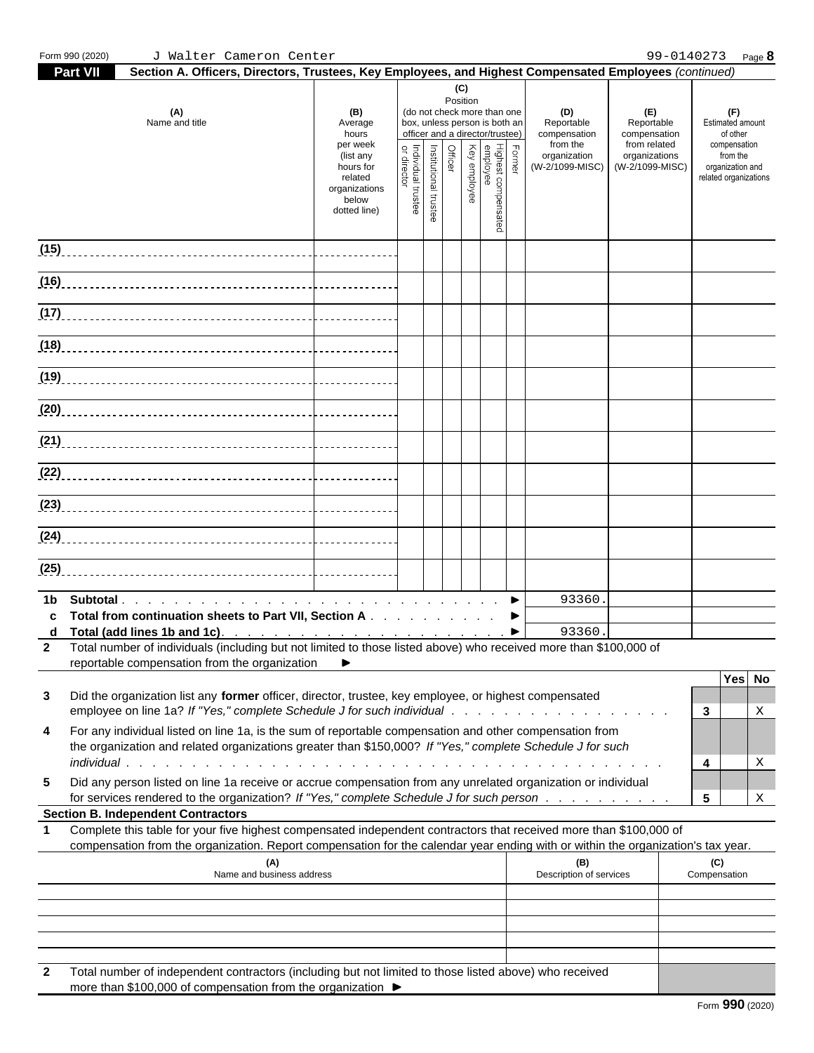|              | Form 990 (2020)<br>J Walter Cameron Center                                                                                                                                                                                                                          |                 |                                                                                              |                                                                                  |                                                                                       | 99-0140273 Page 8                                                                                            |
|--------------|---------------------------------------------------------------------------------------------------------------------------------------------------------------------------------------------------------------------------------------------------------------------|-----------------|----------------------------------------------------------------------------------------------|----------------------------------------------------------------------------------|---------------------------------------------------------------------------------------|--------------------------------------------------------------------------------------------------------------|
|              | Section A. Officers, Directors, Trustees, Key Employees, and Highest Compensated Employees (continued)<br><b>Part V</b>                                                                                                                                             |                 |                                                                                              |                                                                                  |                                                                                       |                                                                                                              |
|              | (B)<br>(A)<br>Name and title<br>Average<br>hours<br>per week<br>(list any<br>hours for<br>organizations<br>below<br>dotted line)                                                                                                                                    | (C)<br>Position | (do not check more than on<br>box, unless person is both a<br>officer and a director/trustee | (D)<br>Reportable<br>compensation<br>from the<br>organization<br>(W-2/1099-MISC) | (E)<br>Reportable<br>compensation<br>from related<br>organizations<br>(W-2/1099-MISC) | (F)<br>Estimated amount<br>of other<br>compensation<br>from the<br>organization and<br>related organizations |
|              |                                                                                                                                                                                                                                                                     |                 |                                                                                              |                                                                                  |                                                                                       |                                                                                                              |
|              |                                                                                                                                                                                                                                                                     |                 |                                                                                              |                                                                                  |                                                                                       |                                                                                                              |
|              | (17)                                                                                                                                                                                                                                                                |                 |                                                                                              |                                                                                  |                                                                                       |                                                                                                              |
|              |                                                                                                                                                                                                                                                                     |                 |                                                                                              |                                                                                  |                                                                                       |                                                                                                              |
|              |                                                                                                                                                                                                                                                                     |                 |                                                                                              |                                                                                  |                                                                                       |                                                                                                              |
|              |                                                                                                                                                                                                                                                                     |                 |                                                                                              |                                                                                  |                                                                                       |                                                                                                              |
|              |                                                                                                                                                                                                                                                                     |                 |                                                                                              |                                                                                  |                                                                                       |                                                                                                              |
|              |                                                                                                                                                                                                                                                                     |                 |                                                                                              |                                                                                  |                                                                                       |                                                                                                              |
|              |                                                                                                                                                                                                                                                                     |                 |                                                                                              |                                                                                  |                                                                                       |                                                                                                              |
|              |                                                                                                                                                                                                                                                                     |                 |                                                                                              |                                                                                  |                                                                                       |                                                                                                              |
|              |                                                                                                                                                                                                                                                                     |                 |                                                                                              |                                                                                  |                                                                                       |                                                                                                              |
| $\mathbf{2}$ | c Total from continuation sheets to Part VII, Section A ▶<br>Total number of individuals (including but not limited to those listed above) who received more than \$100,000 of                                                                                      |                 |                                                                                              | 93360<br>93360                                                                   |                                                                                       |                                                                                                              |
| 3<br>4       | reportable compensation from the organization ▶<br>Did the organization list any former officer, director, trustee, key employee, or highest compensated<br>For any individual listed on line 1a, is the sum of reportable compensation and other compensation from |                 |                                                                                              |                                                                                  |                                                                                       | Yes No<br>3 <sup>1</sup><br>X                                                                                |
| 5            | the organization and related organizations greater than \$150,000? If "Yes," complete Schedule J for such<br>Did any person listed on line 1a receive or accrue compensation from any unrelated organization or individual                                          |                 |                                                                                              |                                                                                  |                                                                                       | X<br>4                                                                                                       |
|              | for services rendered to the organization? If "Yes," complete Schedule J for such person<br><b>Section B. Independent Contractors</b>                                                                                                                               |                 |                                                                                              |                                                                                  |                                                                                       | 5 <sup>5</sup><br>X                                                                                          |
|              | Complete this table for your five highest compensated independent contractors that received more than \$100,000 of<br>compensation from the organization. Report compensation for the calendar year ending with or within the organization's tax year.              |                 |                                                                                              |                                                                                  |                                                                                       |                                                                                                              |
|              | (A)<br>Name and business address                                                                                                                                                                                                                                    |                 |                                                                                              | (B)<br>Description of services                                                   |                                                                                       | (C)<br>Compensation                                                                                          |
|              |                                                                                                                                                                                                                                                                     |                 |                                                                                              |                                                                                  |                                                                                       |                                                                                                              |
| $\mathbf{2}$ | Total number of independent contractors (including but not limited to those listed above) who received                                                                                                                                                              |                 |                                                                                              |                                                                                  |                                                                                       |                                                                                                              |

more than \$100,000 of compensation from the organization  $\blacktriangleright$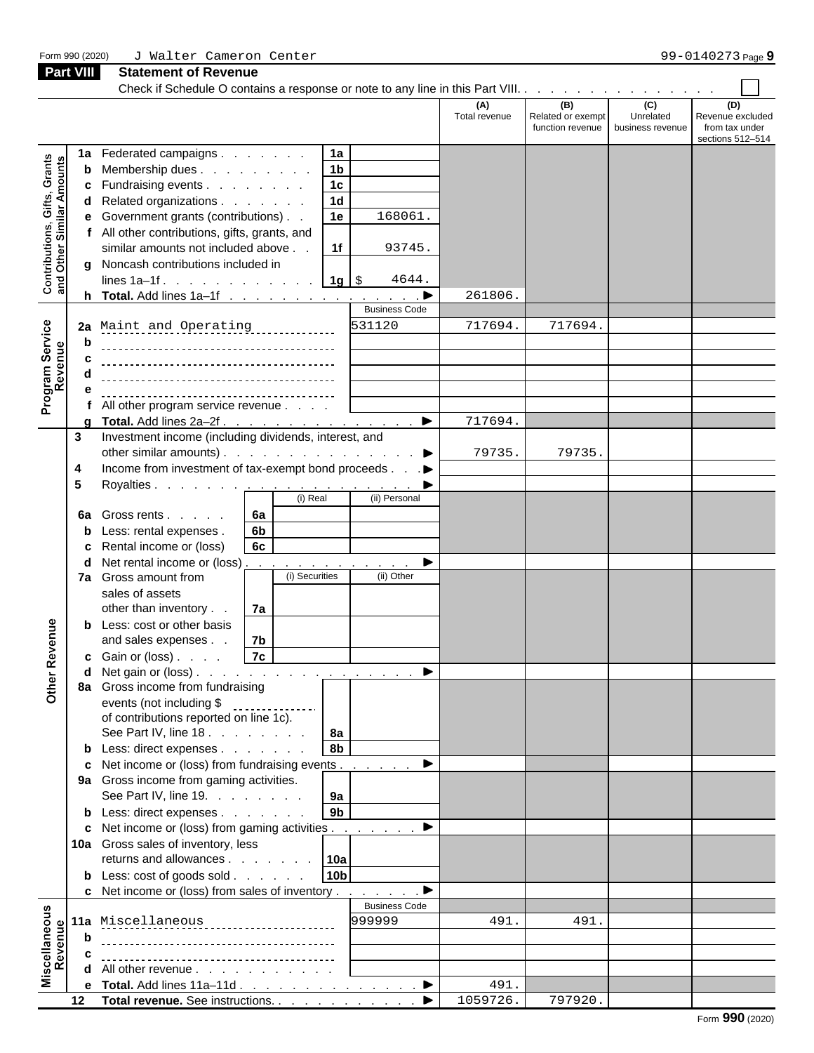| Form 990 (2020)                                           |              | J Walter Cameron Center                                                                                                                                                                                                                                                                                                                                                                                                                                                                    |                      |                                              |                                      | 99-0140273 Page 9                                             |
|-----------------------------------------------------------|--------------|--------------------------------------------------------------------------------------------------------------------------------------------------------------------------------------------------------------------------------------------------------------------------------------------------------------------------------------------------------------------------------------------------------------------------------------------------------------------------------------------|----------------------|----------------------------------------------|--------------------------------------|---------------------------------------------------------------|
| Part VIII                                                 |              | <b>Statement of Revenue</b>                                                                                                                                                                                                                                                                                                                                                                                                                                                                |                      |                                              |                                      |                                                               |
|                                                           |              |                                                                                                                                                                                                                                                                                                                                                                                                                                                                                            |                      |                                              |                                      |                                                               |
|                                                           |              |                                                                                                                                                                                                                                                                                                                                                                                                                                                                                            | (A)<br>Total revenue | (B)<br>Related or exempt<br>function revenue | (C)<br>Unrelated<br>business revenue | (D)<br>Revenue excluded<br>from tax under<br>sections 512-514 |
| Contributions, Gifts, Grants<br>and Other Similar Amounts |              | 1a<br>1a Federated campaigns<br>1 <sub>b</sub><br><b>b</b> Membership dues<br>1c<br><b>c</b> Fundraising events<br>1 <sub>d</sub><br>d Related organizations<br>1e<br>168061.<br>e Government grants (contributions)<br>f All other contributions, gifts, grants, and<br>1f<br>similar amounts not included above.<br>93745.<br>g Noncash contributions included in<br>lines 1a-1f. 1g   \$<br>4644.<br><b>Business Code</b>                                                               | 261806.              |                                              |                                      |                                                               |
|                                                           |              | 531120                                                                                                                                                                                                                                                                                                                                                                                                                                                                                     | 717694               | 717694                                       |                                      |                                                               |
| Service<br>Inue<br>Program <b>:</b><br>Reven              | h<br>c       | 2a Maint and Operating<br>All other program service revenue                                                                                                                                                                                                                                                                                                                                                                                                                                |                      |                                              |                                      |                                                               |
|                                                           |              |                                                                                                                                                                                                                                                                                                                                                                                                                                                                                            | 717694.              |                                              |                                      |                                                               |
|                                                           | $\mathbf{3}$ | Investment income (including dividends, interest, and<br>other similar amounts).<br>▶<br>Income from investment of tax-exempt bond proceeds ▶<br>(i) Real<br>(ii) Personal                                                                                                                                                                                                                                                                                                                 | 79735.               | 79735                                        |                                      |                                                               |
| enue                                                      |              | 6a<br><b>6a</b> Gross rents<br>6 <sub>b</sub><br><b>b</b> Less: rental expenses.<br>6c<br>c Rental income or (loss)<br><b>d</b> Net rental income or (loss) $\ldots$ $\ldots$ $\ldots$ $\ldots$ $\ldots$ $\ldots$<br>(i) Securities<br>(ii) Other<br>7a Gross amount from<br>sales of assets<br>other than inventory<br>  7a<br><b>b</b> Less: cost or other basis<br>and sales expenses.<br>7b<br> 7c <br><b>c</b> Gain or (loss) $\ldots$<br>d Net gain or (loss). $\blacktriangleright$ |                      |                                              |                                      |                                                               |
| Other Rev                                                 |              | 8a Gross income from fundraising<br>events (not including \$<br>of contributions reported on line 1c).<br>See Part IV, line 18. $\ldots$ $\ldots$ $\ldots$   8a<br>8 <sub>b</sub><br><b>b</b> Less: direct expenses<br>c Net income or (loss) from fundraising events ▶<br>9a Gross income from gaming activities.<br>9a<br>See Part IV, line 19.<br>9 <sub>b</sub><br><b>b</b> Less: direct expenses<br>c Net income or (loss) from gaming activities ▶                                   |                      |                                              |                                      |                                                               |
|                                                           |              | 10a Gross sales of inventory, less<br>returns and allowances $\vert$ 10a<br>10 <sub>b</sub><br><b>b</b> Less: $\cos t$ of goods $\sin t$<br>c Net income or (loss) from sales of inventory $\blacktriangleright$                                                                                                                                                                                                                                                                           |                      |                                              |                                      |                                                               |
|                                                           |              | <b>Business Code</b>                                                                                                                                                                                                                                                                                                                                                                                                                                                                       |                      |                                              |                                      |                                                               |
| Miscellaneous<br>Revenue                                  |              | 999999<br>11a Miscellaneous                                                                                                                                                                                                                                                                                                                                                                                                                                                                | 491.                 | 491                                          |                                      |                                                               |
|                                                           | b            |                                                                                                                                                                                                                                                                                                                                                                                                                                                                                            |                      |                                              |                                      |                                                               |
|                                                           |              |                                                                                                                                                                                                                                                                                                                                                                                                                                                                                            |                      |                                              |                                      |                                                               |
|                                                           |              | <b>d</b> All other revenue $\ldots$ $\ldots$ $\ldots$ $\ldots$                                                                                                                                                                                                                                                                                                                                                                                                                             |                      |                                              |                                      |                                                               |
|                                                           |              | e Total. Add lines 11a-11d ▶                                                                                                                                                                                                                                                                                                                                                                                                                                                               | 491.                 |                                              |                                      |                                                               |
|                                                           |              |                                                                                                                                                                                                                                                                                                                                                                                                                                                                                            | 1059726.             | 797920.                                      |                                      |                                                               |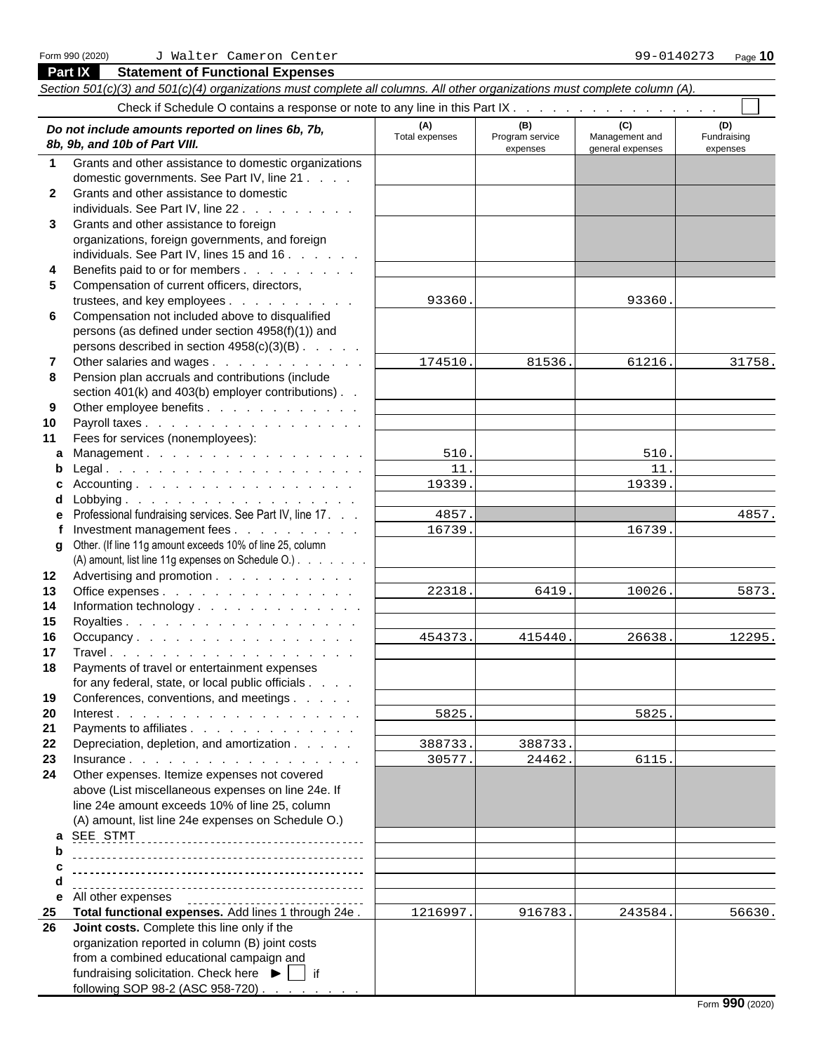**Part IX Statement of Functional Expenses**

following SOP 98-2 (ASC 958-720).

#### *Section 501(c)(3) and 501(c)(4) organizations must complete all columns. All other organizations must complete column (A).* Check if Schedule O contains a response or note to any line in this Part IX . . **(A) (B) (C) (D)** Total expenses Program service Management and Fundraising<br> *Rb, 9b, and 10b of Part VIII.*<br>
expenses expenses expenses expenses expenses expenses expenses expenses expenses **8b, 9b, and 10b of Part VIII.** expenses expenses general expenses expenses expenses expenses expenses **1** Grants and other assistance to domestic organizations domestic governments. See Part IV, line 21 . . . . **2** Grants and other assistance to domestic individuals. See Part IV, line 22 . . . . **3** Grants and other assistance to foreign organizations, foreign governments, and foreign individuals. See Part IV, lines 15 and  $16. \ldots$ . **4** Benefits paid to or for members . . . . . . . . . **5** Compensation of current officers, directors, trustees, and key employees . . . . . . . . . . . 93360. **6** Compensation not included above to disqualified persons (as defined under section 4958(f)(1)) and persons described in section  $4958(c)(3)(B)$ . . . . . **7** Other salaries and wages . . . . . . . . . . . . . . . 174510. 81536. 61216. **8** Pension plan accruals and contributions (include section 401(k) and 403(b) employer contributions). . **9** Other employee benefits . . . . . . . . . . . . **10** Payroll taxes . . . . . . . . . . . . . . . . . **11** Fees for services (nonemployees): **a** Management . . . . . . . . . . . . . . . . . **b** Legal . . . . . . . . . . . . . . . . . . . . **c** Accounting . . . . . . . . . . . . . . . . . **d** Lobbying . . . . . . . . . . . . . . . . . . **e** Professional fundraising services. See Part IV, line 17. . . **f** Investment management fees . . . . . . . . . | 16739. | 16739. **g** Other. (If line 11g amount exceeds 10% of line 25, column (A) amount, list line 11g expenses on Schedule O.) . . . . . . . . **12** Advertising and promotion . . . . . . . . . . . **13** Office expenses . . . . . . . . . . . . . . . 14 Information technology . . . . . . . . . . . . . **15** Royalties . . . . . . . . . . . . . . . . . . **16** Occupancy . . . . . . . . . . . . . . . . . <u>| 454373. 415440. 26638</u> **17** Travel . . . . . . . . . . . . . . . . . . . **18** Payments of travel or entertainment expenses for any federal, state, or local public officials . . . . **19** Conferences, conventions, and meetings . . . . . **20** Interest . . . . . . . . . . . . . . . . . . . 21 Payments to affiliates . . . . . . . . . . . . . **22** Depreciation, depletion, and amortization . . . . . . | 388733. **23** Insurance . . . . . . . . . . . . . . . . . . **24** Other expenses. Itemize expenses not covered above (List miscellaneous expenses on line 24e. If line 24e amount exceeds 10% of line 25, column (A) amount, list line 24e expenses on Schedule O.) **a**  SEE STMT **b c d e** All other expenses **25 Total functional expenses.** Add lines 1 through 24e .  $\vert$  1216997. 916783. 243584. **26 Joint costs.** Complete this line only if the organization reported in column (B) joint costs from a combined educational campaign and fundraising solicitation. Check here  $\blacktriangleright$   $\blacktriangleright$  if 93360. 93360. 174510. 81536. 61216. 31758. 510. 510. 11. 11. 19339. 19339. 4857. 4857. 16739. 16739. 22318. 6419. 10026. 5873. 454373. 415440. 26638. 12295. 5825. 5825. 388733. 388733. 30577. 24462. 6115. 1216997. 916783. 243584. 56630.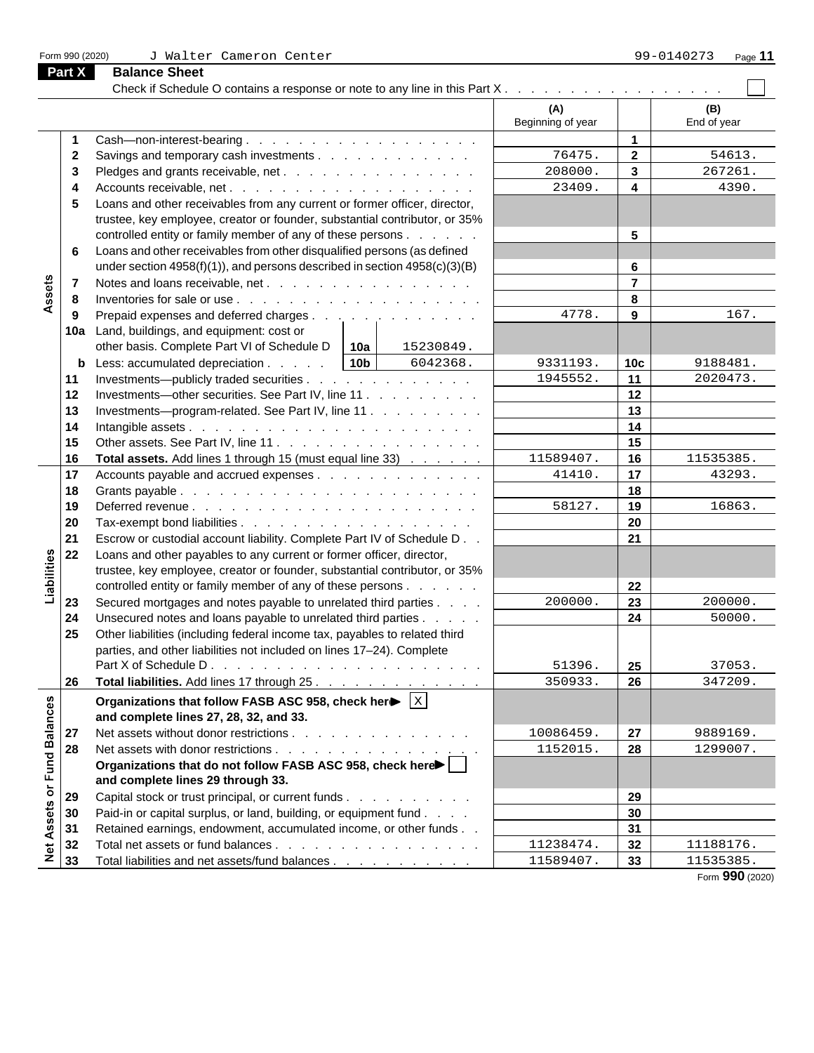Check if Schedule O contains a response or note to any line in this Part  $X_1, \ldots, \ldots, \ldots, \ldots, \ldots$ **(A) (B)** Beginning of year | Find of year **1** Cash—non-interest-bearing . . . . . . . . . . . . . . . . . . **1 2** Savings and temporary cash investments . . . . . . . . . . . . . 76475. 2 | 54613.  $76475.$  2 54613.  $208000.$  3  $267261.$ **3** Pledges and grants receivable, net . . . . . . . . . . . . . . . . . . 208000.  $\vert$  **3**  $\vert$  267261. **4** Accounts receivable, net . . . . . . . . . . . . . . . . . . . **4**  $23409.$  4 4390. **5** Loans and other receivables from any current or former officer, director, trustee, key employee, creator or founder, substantial contributor, or 35% controlled entity or family member of any of these persons . . . . . . **5 6** Loans and other receivables from other disqualified persons (as defined under section 4958(f)(1)), and persons described in section 4958(c)(3)(B) **6** Assets **7** Notes and loans receivable, net . . . . . . . . . . . . . . . . **7 8** Inventories for sale or use . . . . . . . . . . . . . . . . . . . **8 9** Prepaid expenses and deferred charges . . . . . . . . . . . . . . 4778. **9**  $\vert$  167. 4778. **9** 167. **10a** Land, buildings, and equipment: cost or other basis. Complete Part VI of Schedule D **10a** 15230849. **b** Less: accumulated depreciation . . . . . 10b | 6042368. | 9331193. | 10c | 9188481. 6042368. 9331193. **10c** 9188481. **11** Investments—publicly traded securities . . . . . . . . . . . . . . . 1945552. **11** 2020473.  $1945552.$  11 2020473. **12** Investments—other securities. See Part IV, line 11 . . . . . . . . . **12 13** Investments—program-related. See Part IV, line 11 . . . . . . . . . **13 14** Intangible assets . . . . . . . . . . . . . . . . . . . . . . **14 15** Other assets. See Part IV, line 11 . . . . . . . . . . . . . . . . **15 16 Total assets.** Add lines 1 through 15 (must equal line 33)  $\ldots$ ,  $\ldots$  1 1589407. | **16** | 1535385.  $11589407.$  16 11535385. **17** Accounts payable and accrued expenses  $\ldots$  . . . . . . . . . . . 41410.  $\vert$  **17**  $\vert$  43293. 41410. 43293. **18** Grants payable . . . . . . . . . . . . . . . . . . . . . . . **18 19** Deferred revenue . . . . . . . . . . . . . . . . . . . . . . **19**  $58127.$  19 16863. **20** Tax-exempt bond liabilities . . . . . . . . . . . . . . . . . . **20 21** Escrow or custodial account liability. Complete Part IV of Schedule D . . **21 22** Loans and other payables to any current or former officer, director, Liabilities trustee, key employee, creator or founder, substantial contributor, or 35% controlled entity or family member of any of these persons . . . . . . **22 23** Secured mortgages and notes payable to unrelated third parties . . . . 200000. 23 | 23 | 200000.  $200000$ . **23** 200000. **24** Unsecured notes and loans payable to unrelated third parties . . . . . . | **24** | 50000. 50000. **25** Other liabilities (including federal income tax, payables to related third parties, and other liabilities not included on lines 17–24). Complete Part X of Schedule D . . . . . . . . . . . . . . . . . . . . . **25**  $51396.$  25 37053. **26 Total liabilities.** Add lines 17 through 25. . . . . . . . . . . . . . . . . 350933. 26 347209.  $350933.$  **26** 347209. Net Assets or Fund Balances **Organizations that follow FASB ASC 958, check here** |  $\times$  |  $\mathbf{x}$  , and the contract of the contract of the contract of the contract of the contract of the contract of the contract of the contract of the contract of the contract of the contract of the contract of the contract of **and complete lines 27, 28, 32, and 33. 27** Net assets without donor restrictions . . . . . . . . . . . . . . | 10086459. | 27 | 9889169.  $10086459.$  27 9889169. **28** Net assets with donor restrictions . . . . . . . . . . . . . . . . . . 1152015. 28 | 1299007.  $1152015.$  28 1299007. **Organizations that do not follow FASB ASC 958, check here and complete lines 29 through 33. 29** Capital stock or trust principal, or current funds . . . . . . . . . . . . | **30** Paid-in or capital surplus, or land, building, or equipment fund . . . .  $\qquad$  | **31** Retained earnings, endowment, accumulated income, or other funds . . **31**  $11238474.$  32 11188176. **32** Total net assets or fund balances . . . . . . . . . . . . . . . . . | 11238474. | 32 | 11188176. 11535385. **33** Total liabilities and net assets/fund balances . . . . . . . . . . . . | 11589407. | **33** 

**Part X Balance Sheet**

Form **990** (2020)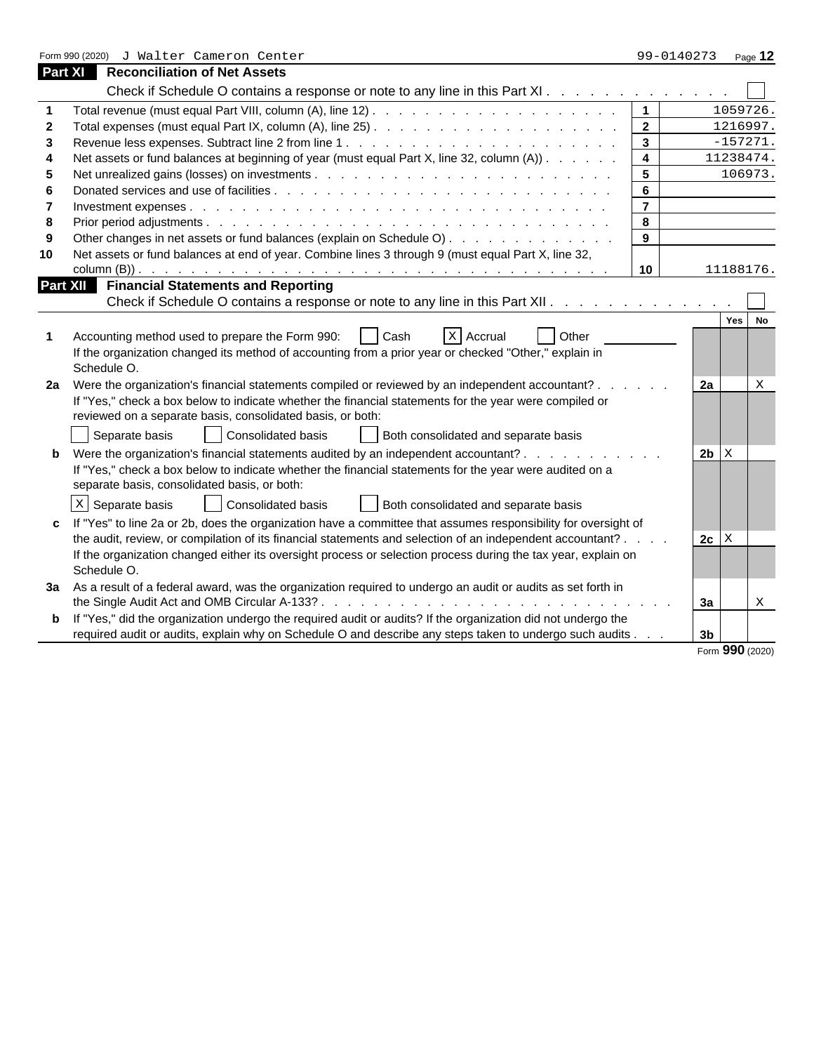|    | Form 990 (2020) J Walter Cameron Center                                                                                                                                                                                                                                                                                                                         | 99-0140273     |             | Page $12$                 |
|----|-----------------------------------------------------------------------------------------------------------------------------------------------------------------------------------------------------------------------------------------------------------------------------------------------------------------------------------------------------------------|----------------|-------------|---------------------------|
|    | Reconciliation of Net Assets<br><b>Part XI</b>                                                                                                                                                                                                                                                                                                                  |                |             |                           |
|    | Check if Schedule O contains a response or note to any line in this Part XI.                                                                                                                                                                                                                                                                                    |                |             |                           |
|    |                                                                                                                                                                                                                                                                                                                                                                 |                | 1059726.    |                           |
|    | $\overline{2}$                                                                                                                                                                                                                                                                                                                                                  |                | 1216997.    |                           |
|    | $\mathbf{3}$                                                                                                                                                                                                                                                                                                                                                    |                | $-157271$ . |                           |
|    | Net assets or fund balances at beginning of year (must equal Part X, line 32, column (A))                                                                                                                                                                                                                                                                       |                | 11238474.   |                           |
|    | 5                                                                                                                                                                                                                                                                                                                                                               |                | 106973.     |                           |
|    |                                                                                                                                                                                                                                                                                                                                                                 |                |             |                           |
|    | $\overline{7}$                                                                                                                                                                                                                                                                                                                                                  |                |             |                           |
|    | 8                                                                                                                                                                                                                                                                                                                                                               |                |             |                           |
|    | Other changes in net assets or fund balances (explain on Schedule O)<br>9                                                                                                                                                                                                                                                                                       |                |             |                           |
| 10 | Net assets or fund balances at end of year. Combine lines 3 through 9 (must equal Part X, line 32,                                                                                                                                                                                                                                                              |                |             |                           |
|    | 10 I                                                                                                                                                                                                                                                                                                                                                            |                | 11188176.   |                           |
|    | <b>Part XII</b> Financial Statements and Reporting                                                                                                                                                                                                                                                                                                              |                |             |                           |
|    | Check if Schedule O contains a response or note to any line in this Part XII.                                                                                                                                                                                                                                                                                   |                |             |                           |
|    | $x$ Accrual<br>Other<br>Accounting method used to prepare the Form 990:<br>l Cash<br>If the organization changed its method of accounting from a prior year or checked "Other," explain in<br>Schedule O.                                                                                                                                                       |                | Yes         |                           |
|    | 2a Were the organization's financial statements compiled or reviewed by an independent accountant?.<br>If "Yes," check a box below to indicate whether the financial statements for the year were compiled or<br>reviewed on a separate basis, consolidated basis, or both:<br>Separate basis<br>Consolidated basis<br>Both consolidated and separate basis     | 2a             |             |                           |
|    | b Were the organization's financial statements audited by an independent accountant?.<br>If "Yes," check a box below to indicate whether the financial statements for the year were audited on a<br>separate basis, consolidated basis, or both:                                                                                                                | $2b$ $x$       |             |                           |
|    | $x$ Separate basis<br>Both consolidated and separate basis<br>Consolidated basis                                                                                                                                                                                                                                                                                |                |             |                           |
|    | c If "Yes" to line 2a or 2b, does the organization have a committee that assumes responsibility for oversight of<br>the audit, review, or compilation of its financial statements and selection of an independent accountant? .<br>If the organization changed either its oversight process or selection process during the tax year, explain on<br>Schedule O. | $2c \,   \, X$ |             |                           |
|    | 3a As a result of a federal award, was the organization required to undergo an audit or audits as set forth in                                                                                                                                                                                                                                                  |                |             |                           |
|    |                                                                                                                                                                                                                                                                                                                                                                 | За             |             | $\boldsymbol{\mathrm{X}}$ |
|    | <b>b</b> If "Yes," did the organization undergo the required audit or audits? If the organization did not undergo the                                                                                                                                                                                                                                           |                |             |                           |
|    | required audit or audits, explain why on Schedule O and describe any steps taken to undergo such audits.                                                                                                                                                                                                                                                        | 3 <sub>b</sub> |             |                           |

Form **990** (2020)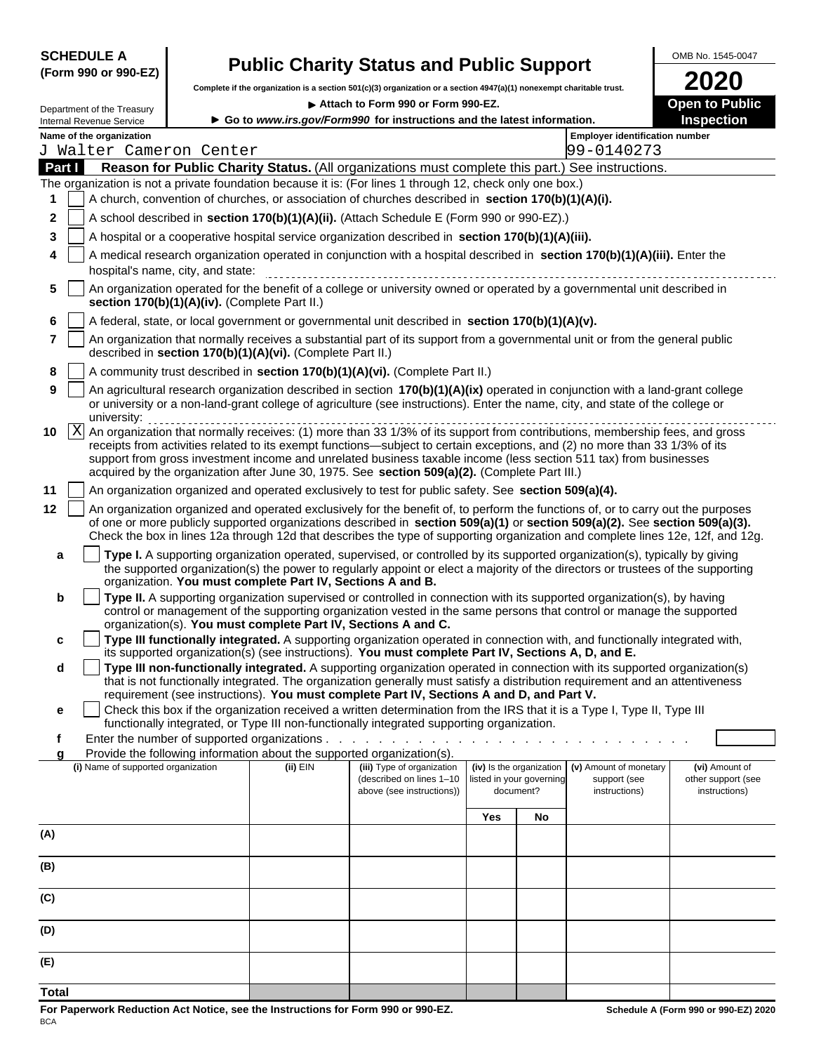## SCHEDULE A **OMB No. 1545-0047**<br>(Form 990 or 990-EZ) **Public Charity Status and Public Support**

**Complete if the organization is a section 501(c)(3) organization or a section 4947(a)(1) nonexempt charitable trust. 2020**

**Department of the Treasury article 11 and 12 and 13 and 14 and 14 and 14 and 14 and 15 and 16 and 16 and 16 and 16 and 16 and 16 and 16 and 16 and 16 and 16 and 16 and 16 and 16 and 16 and 16 and 16 and 16 and 16 and 1** 

| Internal Revenue Service                                                                                                                           |                                                                        | Go to www.irs.gov/Form990 for instructions and the latest information.                               |     |                                                                                                                                                                                                                                                                                                                                                                                                    | Inspection                                            |  |  |
|----------------------------------------------------------------------------------------------------------------------------------------------------|------------------------------------------------------------------------|------------------------------------------------------------------------------------------------------|-----|----------------------------------------------------------------------------------------------------------------------------------------------------------------------------------------------------------------------------------------------------------------------------------------------------------------------------------------------------------------------------------------------------|-------------------------------------------------------|--|--|
| Name of the organization                                                                                                                           |                                                                        |                                                                                                      |     | <b>Employer identification number</b>                                                                                                                                                                                                                                                                                                                                                              |                                                       |  |  |
| J Walter Cameron Center                                                                                                                            |                                                                        |                                                                                                      |     | 99-0140273                                                                                                                                                                                                                                                                                                                                                                                         |                                                       |  |  |
| Part I                                                                                                                                             |                                                                        |                                                                                                      |     | Reason for Public Charity Status. (All organizations must complete this part.) See instructions.                                                                                                                                                                                                                                                                                                   |                                                       |  |  |
| The organization is not a private foundation because it is: (For lines 1 through 12, check only one box.)                                          |                                                                        | A church, convention of churches, or association of churches described in section 170(b)(1)(A)(i).   |     |                                                                                                                                                                                                                                                                                                                                                                                                    |                                                       |  |  |
| $\mathbf{2}$                                                                                                                                       |                                                                        | A school described in section 170(b)(1)(A)(ii). (Attach Schedule E (Form 990 or 990-EZ).)            |     |                                                                                                                                                                                                                                                                                                                                                                                                    |                                                       |  |  |
|                                                                                                                                                    |                                                                        |                                                                                                      |     |                                                                                                                                                                                                                                                                                                                                                                                                    |                                                       |  |  |
| 3                                                                                                                                                  |                                                                        | A hospital or a cooperative hospital service organization described in section 170(b)(1)(A)(iii).    |     |                                                                                                                                                                                                                                                                                                                                                                                                    |                                                       |  |  |
| 4<br>hospital's name, city, and state:                                                                                                             |                                                                        |                                                                                                      |     | A medical research organization operated in conjunction with a hospital described in section 170(b)(1)(A)(iii). Enter the                                                                                                                                                                                                                                                                          |                                                       |  |  |
| 5 An organization operated for the benefit of a college or university owned or operated by a governmental unit described in                        | section 170(b)(1)(A)(iv). (Complete Part II.)                          |                                                                                                      |     |                                                                                                                                                                                                                                                                                                                                                                                                    |                                                       |  |  |
| 6   A federal, state, or local government or governmental unit described in section 170(b)(1)(A)(v).                                               |                                                                        |                                                                                                      |     |                                                                                                                                                                                                                                                                                                                                                                                                    |                                                       |  |  |
|                                                                                                                                                    | described in section 170(b)(1)(A)(vi). (Complete Part II.)             |                                                                                                      |     | An organization that normally receives a substantial part of its support from a governmental unit or from the general public                                                                                                                                                                                                                                                                       |                                                       |  |  |
| 8                                                                                                                                                  |                                                                        | A community trust described in section $170(b)(1)(A)(vi)$ . (Complete Part II.)                      |     |                                                                                                                                                                                                                                                                                                                                                                                                    |                                                       |  |  |
| 9   An agricultural research organization described in section $170(b)(1)(A)(ix)$ operated in conjunction with a land-grant college<br>university: |                                                                        |                                                                                                      |     | or university or a non-land-grant college of agriculture (see instructions). Enter the name, city, and state of the college or                                                                                                                                                                                                                                                                     |                                                       |  |  |
|                                                                                                                                                    |                                                                        | acquired by the organization after June 30, 1975. See section 509(a)(2). (Complete Part III.)        |     | receipts from activities related to its exempt functions—subject to certain exceptions, and (2) no more than 33 1/3% of its<br>support from gross investment income and unrelated business taxable income (less section 511 tax) from businesses                                                                                                                                                   |                                                       |  |  |
| 11                                                                                                                                                 |                                                                        | An organization organized and operated exclusively to test for public safety. See section 509(a)(4). |     |                                                                                                                                                                                                                                                                                                                                                                                                    |                                                       |  |  |
| 12 <sub>2</sub>                                                                                                                                    |                                                                        |                                                                                                      |     | An organization organized and operated exclusively for the benefit of, to perform the functions of, or to carry out the purposes<br>of one or more publicly supported organizations described in section 509(a)(1) or section 509(a)(2). See section 509(a)(3).<br>Check the box in lines 12a through 12d that describes the type of supporting organization and complete lines 12e, 12f, and 12g. |                                                       |  |  |
|                                                                                                                                                    | organization. You must complete Part IV, Sections A and B.             |                                                                                                      |     | Type I. A supporting organization operated, supervised, or controlled by its supported organization(s), typically by giving<br>the supported organization(s) the power to regularly appoint or elect a majority of the directors or trustees of the supporting                                                                                                                                     |                                                       |  |  |
|                                                                                                                                                    | organization(s). You must complete Part IV, Sections A and C.          |                                                                                                      |     | Type II. A supporting organization supervised or controlled in connection with its supported organization(s), by having<br>control or management of the supporting organization vested in the same persons that control or manage the supported                                                                                                                                                    |                                                       |  |  |
| C.                                                                                                                                                 |                                                                        | its supported organization(s) (see instructions). You must complete Part IV, Sections A, D, and E.   |     | Type III functionally integrated. A supporting organization operated in connection with, and functionally integrated with,                                                                                                                                                                                                                                                                         |                                                       |  |  |
|                                                                                                                                                    |                                                                        |                                                                                                      |     | Type III non-functionally integrated. A supporting organization operated in connection with its supported organization(s)<br>that is not functionally integrated. The organization generally must satisfy a distribution requirement and an attentiveness                                                                                                                                          |                                                       |  |  |
|                                                                                                                                                    |                                                                        | requirement (see instructions). You must complete Part IV, Sections A and D, and Part V.             |     |                                                                                                                                                                                                                                                                                                                                                                                                    |                                                       |  |  |
|                                                                                                                                                    |                                                                        | functionally integrated, or Type III non-functionally integrated supporting organization.            |     | □ Check this box if the organization received a written determination from the IRS that it is a Type I, Type II, Type III                                                                                                                                                                                                                                                                          |                                                       |  |  |
|                                                                                                                                                    |                                                                        | Enter the number of supported organizations                                                          |     | .                                                                                                                                                                                                                                                                                                                                                                                                  |                                                       |  |  |
|                                                                                                                                                    | Provide the following information about the supported organization(s). |                                                                                                      |     |                                                                                                                                                                                                                                                                                                                                                                                                    |                                                       |  |  |
| (i) Name of supported organization                                                                                                                 | (ii) EIN                                                               | (iii) Type of organization<br>(described on lines 1-10<br>above (see instructions))                  |     | (iv) Is the organization (v) Amount of monetary<br>support (see<br>listed in your governing<br>document?<br>instructions)                                                                                                                                                                                                                                                                          | (vi) Amount of<br>other support (see<br>instructions) |  |  |
|                                                                                                                                                    |                                                                        |                                                                                                      | Yes | No                                                                                                                                                                                                                                                                                                                                                                                                 |                                                       |  |  |
| (A)                                                                                                                                                |                                                                        |                                                                                                      |     |                                                                                                                                                                                                                                                                                                                                                                                                    |                                                       |  |  |
|                                                                                                                                                    |                                                                        |                                                                                                      |     |                                                                                                                                                                                                                                                                                                                                                                                                    |                                                       |  |  |
| (B)                                                                                                                                                |                                                                        |                                                                                                      |     |                                                                                                                                                                                                                                                                                                                                                                                                    |                                                       |  |  |
| (C)                                                                                                                                                |                                                                        |                                                                                                      |     |                                                                                                                                                                                                                                                                                                                                                                                                    |                                                       |  |  |
| (D)                                                                                                                                                |                                                                        |                                                                                                      |     |                                                                                                                                                                                                                                                                                                                                                                                                    |                                                       |  |  |
| (E)                                                                                                                                                |                                                                        |                                                                                                      |     |                                                                                                                                                                                                                                                                                                                                                                                                    |                                                       |  |  |
|                                                                                                                                                    |                                                                        |                                                                                                      |     |                                                                                                                                                                                                                                                                                                                                                                                                    |                                                       |  |  |

**Total**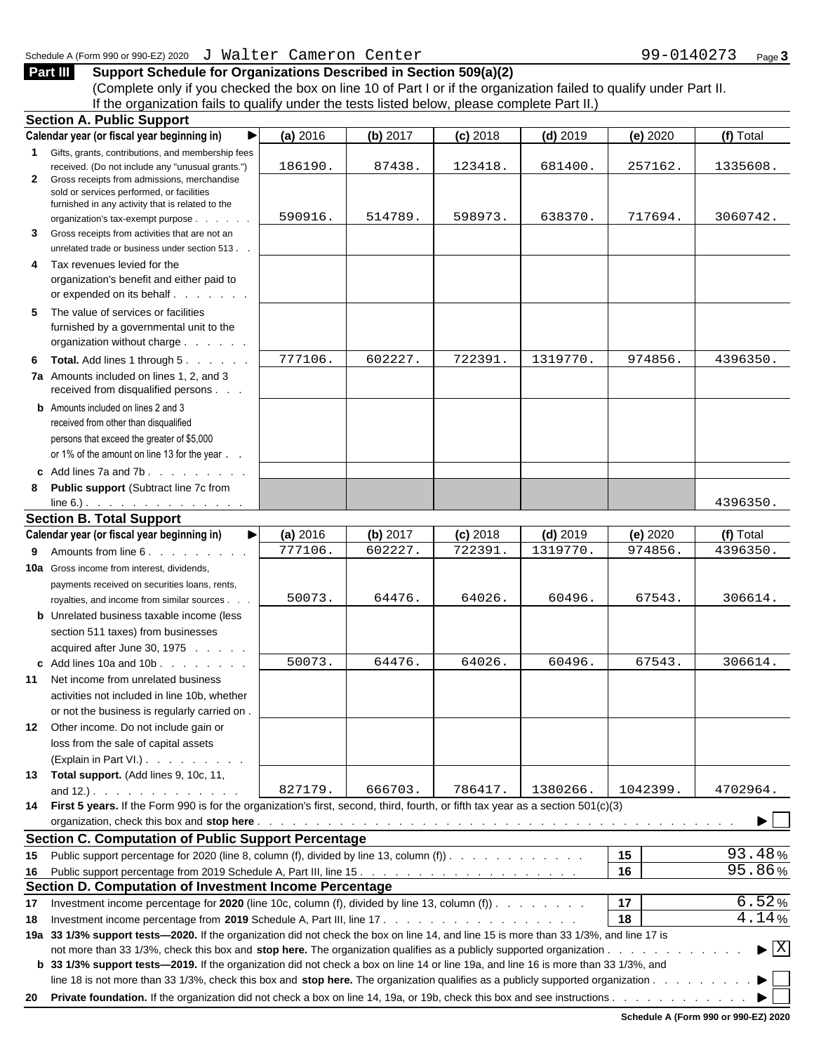**Part III Support Schedule for Organizations Described in Section 509(a)(2)** (Complete only if you checked the box on line 10 of Part I or if the organization failed to qualify under Part II. If the organization fails to qualify under the tests listed below, please complete Part II.)

| <b>Section A. Public Support</b>                                                                                                       |            |          |            |                  |          |                                          |
|----------------------------------------------------------------------------------------------------------------------------------------|------------|----------|------------|------------------|----------|------------------------------------------|
| Calendar year (or fiscal year beginning in)                                                                                            | $(a)$ 2016 | (b) 2017 | $(c)$ 2018 | $(d)$ 2019       | (e) 2020 | (f) Total                                |
| Gifts, grants, contributions, and membership fees                                                                                      |            |          |            |                  |          |                                          |
| received. (Do not include any "unusual grants.")                                                                                       | 186190.    | 87438.   | 123418.    | 681400           | 257162.  | 1335608.                                 |
| 2 Gross receipts from admissions, merchandise<br>sold or services performed, or facilities                                             |            |          |            |                  |          |                                          |
| furnished in any activity that is related to the                                                                                       |            |          |            |                  |          |                                          |
| organization's tax-exempt purpose                                                                                                      | 590916.    | 514789.  | 598973.    | 638370           | 717694.  | 3060742.                                 |
| 3 Gross receipts from activities that are not an                                                                                       |            |          |            |                  |          |                                          |
| unrelated trade or business under section 513.                                                                                         |            |          |            |                  |          |                                          |
| 4 Tax revenues levied for the                                                                                                          |            |          |            |                  |          |                                          |
| organization's benefit and either paid to                                                                                              |            |          |            |                  |          |                                          |
| or expended on its behalf<br>the contract of                                                                                           |            |          |            |                  |          |                                          |
| 5 The value of services or facilities                                                                                                  |            |          |            |                  |          |                                          |
| furnished by a governmental unit to the                                                                                                |            |          |            |                  |          |                                          |
| organization without charge.                                                                                                           |            |          |            |                  |          |                                          |
| 6 Total. Add lines 1 through 5.                                                                                                        | 777106.    | 602227   | 722391     | 1319770          | 974856   | 4396350.                                 |
|                                                                                                                                        |            |          |            |                  |          |                                          |
| 7a Amounts included on lines 1, 2, and 3<br>received from disqualified persons                                                         |            |          |            |                  |          |                                          |
|                                                                                                                                        |            |          |            |                  |          |                                          |
| <b>b</b> Amounts included on lines 2 and 3                                                                                             |            |          |            |                  |          |                                          |
| received from other than disqualified                                                                                                  |            |          |            |                  |          |                                          |
| persons that exceed the greater of \$5,000                                                                                             |            |          |            |                  |          |                                          |
| or 1% of the amount on line 13 for the year                                                                                            |            |          |            |                  |          |                                          |
| c Add lines $7a$ and $7b$ .                                                                                                            |            |          |            |                  |          |                                          |
| 8 Public support (Subtract line 7c from                                                                                                |            |          |            |                  |          |                                          |
| $line 6.)$ .                                                                                                                           |            |          |            |                  |          | 4396350.                                 |
| <b>Section B. Total Support</b>                                                                                                        |            |          |            |                  |          |                                          |
| Calendar year (or fiscal year beginning in)                                                                                            | (a) 2016   | (b) 2017 | $(c)$ 2018 | $(d)$ 2019       | (e) 2020 | (f) Total                                |
| 9 Amounts from line 6.                                                                                                                 | 777106.    | 602227   | 722391.    | 1319770.         | 974856.  | 4396350.                                 |
| 10a Gross income from interest, dividends,                                                                                             |            |          |            |                  |          |                                          |
| payments received on securities loans, rents,                                                                                          |            |          |            |                  |          |                                          |
| royalties, and income from similar sources                                                                                             | 50073.     | 64476.   | 64026.     | 60496.           | 67543.   | 306614.                                  |
|                                                                                                                                        |            |          |            |                  |          |                                          |
| <b>b</b> Unrelated business taxable income (less                                                                                       |            |          |            |                  |          |                                          |
| section 511 taxes) from businesses                                                                                                     |            |          |            |                  |          |                                          |
| acquired after June 30, 1975                                                                                                           |            |          |            |                  |          |                                          |
| c Add lines 10a and 10b.                                                                                                               | 50073.     | 64476.   | 64026.     | 60496            | 67543.   | 306614.                                  |
| 11 Net income from unrelated business                                                                                                  |            |          |            |                  |          |                                          |
| activities not included in line 10b, whether                                                                                           |            |          |            |                  |          |                                          |
| or not the business is regularly carried on                                                                                            |            |          |            |                  |          |                                          |
| 12 Other income. Do not include gain or                                                                                                |            |          |            |                  |          |                                          |
| loss from the sale of capital assets                                                                                                   |            |          |            |                  |          |                                          |
| (Explain in Part VI.)                                                                                                                  |            |          |            |                  |          |                                          |
| 13 Total support. (Add lines 9, 10c, 11,                                                                                               |            |          |            |                  |          |                                          |
| and $12.$ ).                                                                                                                           | 827179.    | 666703.  |            | 786417. 1380266. | 1042399. | 4702964.                                 |
| 14 First 5 years. If the Form 990 is for the organization's first, second, third, fourth, or fifth tax year as a section 501(c)(3)     |            |          |            |                  |          |                                          |
|                                                                                                                                        |            |          |            |                  |          | $\blacktriangleright$ $\Box$             |
| <b>Section C. Computation of Public Support Percentage</b>                                                                             |            |          |            |                  |          |                                          |
|                                                                                                                                        |            |          |            |                  | 15       | 93.48%                                   |
| 15 Public support percentage for 2020 (line 8, column (f), divided by line 13, column (f))                                             |            |          |            |                  | 16       | 95.86%                                   |
|                                                                                                                                        |            |          |            |                  |          |                                          |
| Section D. Computation of Investment Income Percentage                                                                                 |            |          |            |                  |          |                                          |
| 17 Investment income percentage for 2020 (line 10c, column (f), divided by line 13, column (f)).                                       |            |          |            |                  | 17       | 6.52%                                    |
|                                                                                                                                        |            |          |            |                  | 18       | 4.14%                                    |
| 19a 33 1/3% support tests-2020. If the organization did not check the box on line 14, and line 15 is more than 33 1/3%, and line 17 is |            |          |            |                  |          |                                          |
| not more than 33 1/3%, check this box and stop here. The organization qualifies as a publicly supported organization                   |            |          |            |                  |          | $\blacktriangleright$ $\boxed{\text{X}}$ |
| b 33 1/3% support tests—2019. If the organization did not check a box on line 14 or line 19a, and line 16 is more than 33 1/3%, and    |            |          |            |                  |          |                                          |
| line 18 is not more than 33 1/3%, check this box and stop here. The organization qualifies as a publicly supported organization .      |            |          |            |                  |          | $\blacktriangleright$ $\sqcup$           |
|                                                                                                                                        |            |          |            |                  |          |                                          |

**Schedule A (Form 990 or 990-EZ) 2020**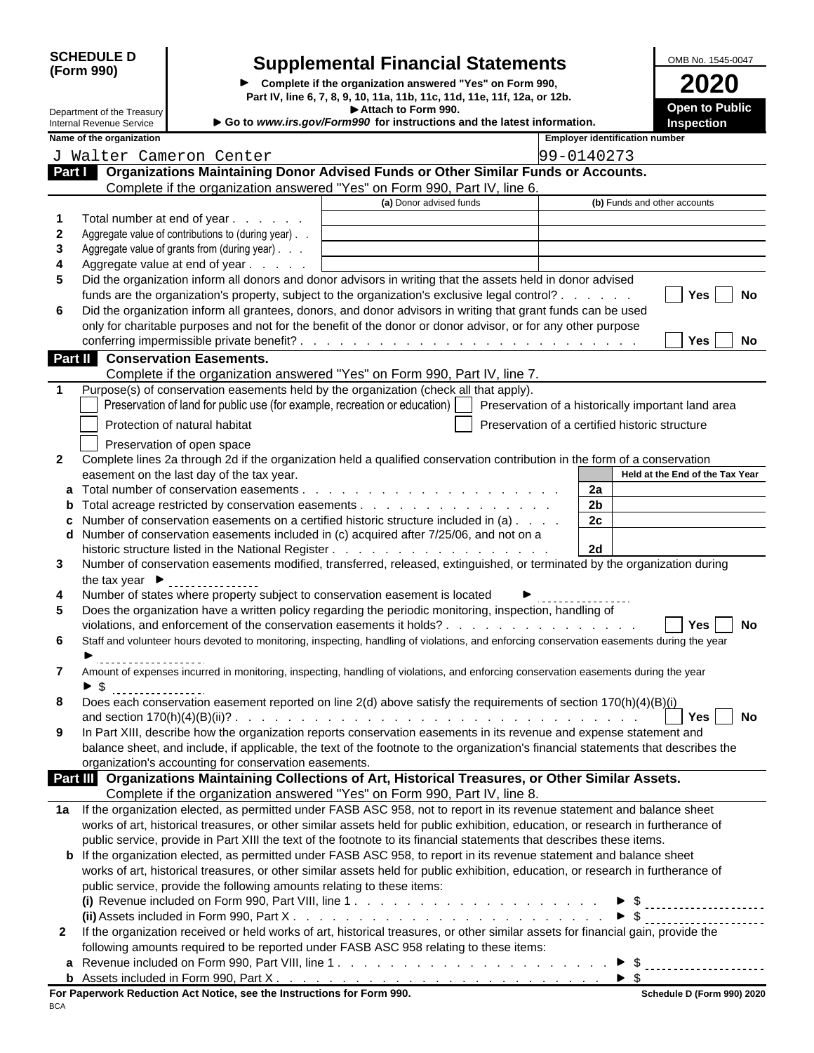| <b>SCHEDULE D</b> |  |
|-------------------|--|
| (Form 990)        |  |

### SCHEDULE D Supplemental Financial Statements <br>(Form 990)

**Complete if the organization answered "Yes" on Form 990,**<br>Part IV, line 6, 7, 8, 9, 10, 11a, 11b, 11c, 11d, 11e, 11f, 12a, or 12b. **Attach to Form 990.** Department of the Treasury<br>
Internal Revenue Service **Department of the Treasury Department of the Treasury Department of the latest information.**<br>
Internal Revenue Service **Department of the Service Department of th** Internal Revenue Service **Number 1996 Give With Constructions and the latest information.** 

| . .<br>−<br>-<br><b>Open to Public</b> |  |  |  |
|----------------------------------------|--|--|--|
| <b>Inspection</b>                      |  |  |  |

**Name of the organization Employer identification number Employer identification number Part I Croanizations Maintaining Donor Advised Funds or Other Similar Funds or Accounts.** J Walter Cameron Center 199-0140273

|              | Organizations maintaining Donor Auviscu i unus or Other Omniar Funus or Accounts.<br>Complete if the organization answered "Yes" on Form 990, Part IV, line 6. |                         |                                                |
|--------------|----------------------------------------------------------------------------------------------------------------------------------------------------------------|-------------------------|------------------------------------------------|
|              |                                                                                                                                                                | (a) Donor advised funds | (b) Funds and other accounts                   |
|              | Total number at end of year                                                                                                                                    |                         |                                                |
|              | Aggregate value of contributions to (during year). .                                                                                                           |                         |                                                |
|              | Aggregate value of grants from (during year)                                                                                                                   |                         |                                                |
|              | Aggregate value at end of year.                                                                                                                                |                         |                                                |
|              | Did the organization inform all donors and donor advisors in writing that the assets held in donor advised                                                     |                         |                                                |
|              | funds are the organization's property, subject to the organization's exclusive legal control?                                                                  |                         | Yes   No                                       |
|              | 6 Did the organization inform all grantees, donors, and donor advisors in writing that grant funds can be used                                                 |                         |                                                |
|              | only for charitable purposes and not for the benefit of the donor or donor advisor, or for any other purpose                                                   |                         |                                                |
|              |                                                                                                                                                                |                         | $\vert$ Yes $\vert$ $\vert$ No                 |
|              | <b>Part I</b> Conservation Easements.                                                                                                                          |                         |                                                |
|              | Complete if the organization answered "Yes" on Form 990, Part IV, line 7.                                                                                      |                         |                                                |
|              | Purpose(s) of conservation easements held by the organization (check all that apply).                                                                          |                         |                                                |
|              | Preservation of land for public use (for example, recreation or education)     Preservation of a historically important land area                              |                         |                                                |
|              |                                                                                                                                                                |                         |                                                |
|              | Protection of natural habitat                                                                                                                                  |                         | Preservation of a certified historic structure |
|              | Preservation of open space                                                                                                                                     |                         |                                                |
| $\mathbf{2}$ | Complete lines 2a through 2d if the organization held a qualified conservation contribution in the form of a conservation                                      |                         |                                                |
|              | easement on the last day of the tax year.                                                                                                                      |                         | Held at the End of the Tax Year                |
|              |                                                                                                                                                                |                         | 2a                                             |
|              |                                                                                                                                                                |                         | 2 <sub>b</sub>                                 |
|              | <b>c</b> Number of conservation easements on a certified historic structure included in $(a)$                                                                  |                         | 2c                                             |
|              | d Number of conservation easements included in (c) acquired after 7/25/06, and not on a                                                                        |                         | 2d                                             |
|              | 3 Number of conservation easements modified, transferred, released, extinguished, or terminated by the organization during                                     |                         |                                                |
|              | the tax year $\blacktriangleright$                                                                                                                             |                         |                                                |
| 4            | Number of states where property subject to conservation easement is located                                                                                    |                         |                                                |
| 5            | Does the organization have a written policy regarding the periodic monitoring, inspection, handling of                                                         |                         |                                                |
|              | violations, and enforcement of the conservation easements it holds?                                                                                            |                         | Yes No                                         |
| 6.           | Staff and volunteer hours devoted to monitoring, inspecting, handling of violations, and enforcing conservation easements during the year                      |                         |                                                |
|              |                                                                                                                                                                |                         |                                                |
| $\mathbf{7}$ | Amount of expenses incurred in monitoring, inspecting, handling of violations, and enforcing conservation easements during the year                            |                         |                                                |
|              | $\triangleright$ \$                                                                                                                                            |                         |                                                |
|              | . <u>.</u><br>8 Does each conservation easement reported on line 2(d) above satisfy the requirements of section 170(h)(4)(B)(i)                                |                         |                                                |
|              |                                                                                                                                                                |                         | $Yes$   No                                     |
|              | 9 In Part XIII, describe how the organization reports conservation easements in its revenue and expense statement and                                          |                         |                                                |
|              | balance sheet, and include, if applicable, the text of the footnote to the organization's financial statements that describes the                              |                         |                                                |
|              | organization's accounting for conservation easements.                                                                                                          |                         |                                                |
|              | Part III Organizations Maintaining Collections of Art, Historical Treasures, or Other Similar Assets.                                                          |                         |                                                |
|              | Complete if the organization answered "Yes" on Form 990, Part IV, line 8.                                                                                      |                         |                                                |
|              | 1a If the organization elected, as permitted under FASB ASC 958, not to report in its revenue statement and balance sheet                                      |                         |                                                |
|              | works of art, historical treasures, or other similar assets held for public exhibition, education, or research in furtherance of                               |                         |                                                |
|              | public service, provide in Part XIII the text of the footnote to its financial statements that describes these items.                                          |                         |                                                |
|              | <b>b</b> If the organization elected, as permitted under FASB ASC 958, to report in its revenue statement and balance sheet                                    |                         |                                                |
|              | works of art, historical treasures, or other similar assets held for public exhibition, education, or research in furtherance of                               |                         |                                                |
|              | public service, provide the following amounts relating to these items:                                                                                         |                         |                                                |
|              |                                                                                                                                                                |                         |                                                |
|              |                                                                                                                                                                |                         |                                                |
|              | 2 If the organization received or held works of art, historical treasures, or other similar assets for financial gain, provide the                             |                         |                                                |
|              | following amounts required to be reported under FASB ASC 958 relating to these items:                                                                          |                         |                                                |
|              |                                                                                                                                                                |                         |                                                |
|              |                                                                                                                                                                |                         |                                                |
|              | For Paperwork Reduction Act Notice, see the Instructions for Form 990.                                                                                         |                         | Schedule D (Form 990) 2020                     |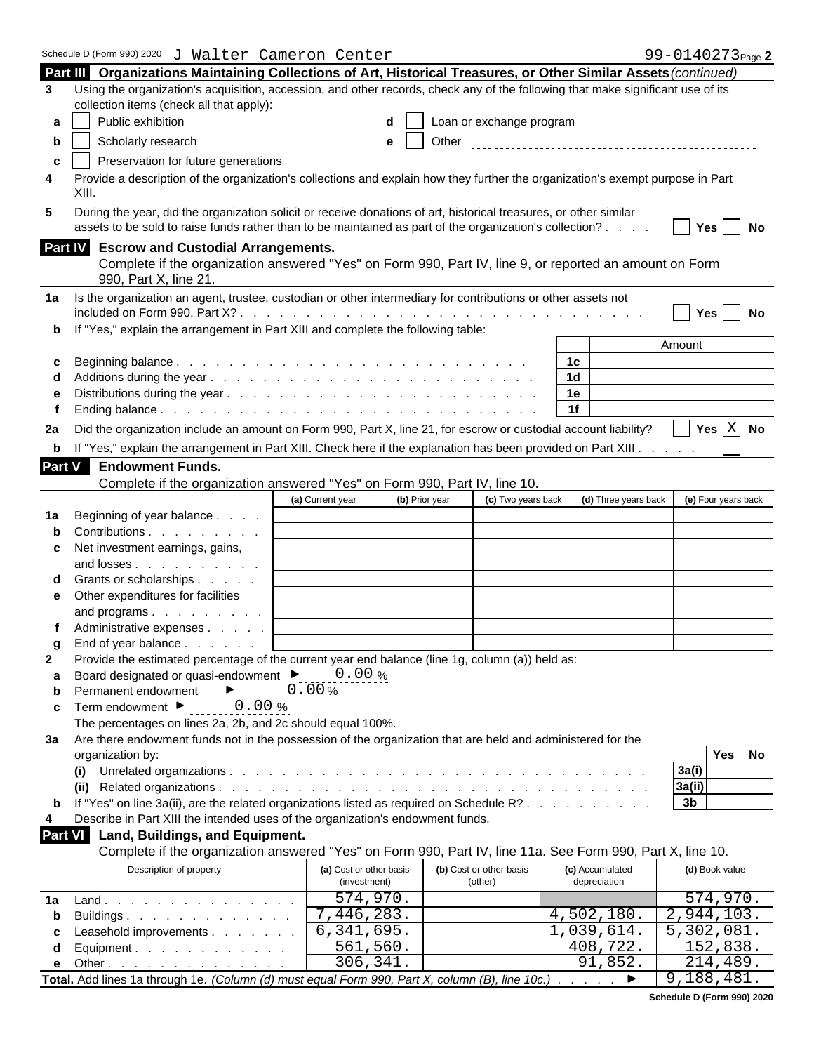|                | Schedule D (Form 990) 2020 J Walter Cameron Center                                                                                                                                                                             |                                         |                |                                                                                                                 | 99-0140273 <sub>Page</sub> 2                     |
|----------------|--------------------------------------------------------------------------------------------------------------------------------------------------------------------------------------------------------------------------------|-----------------------------------------|----------------|-----------------------------------------------------------------------------------------------------------------|--------------------------------------------------|
|                | Part III Organizations Maintaining Collections of Art, Historical Treasures, or Other Similar Assets (continued)                                                                                                               |                                         |                |                                                                                                                 |                                                  |
| 3              | Using the organization's acquisition, accession, and other records, check any of the following that make significant use of its                                                                                                |                                         |                |                                                                                                                 |                                                  |
|                | collection items (check all that apply):                                                                                                                                                                                       |                                         |                |                                                                                                                 |                                                  |
| a              | Public exhibition                                                                                                                                                                                                              |                                         |                | $\mathsf{d}$   Loan or exchange program                                                                         |                                                  |
|                | Scholarly research                                                                                                                                                                                                             |                                         | Other          |                                                                                                                 |                                                  |
|                | Preservation for future generations                                                                                                                                                                                            |                                         |                |                                                                                                                 |                                                  |
|                | Provide a description of the organization's collections and explain how they further the organization's exempt purpose in Part<br>XIII                                                                                         |                                         |                |                                                                                                                 |                                                  |
| 5              | During the year, did the organization solicit or receive donations of art, historical treasures, or other similar<br>assets to be sold to raise funds rather than to be maintained as part of the organization's collection? . |                                         |                |                                                                                                                 | $Yes$ No                                         |
|                | Part IV Escrow and Custodial Arrangements.                                                                                                                                                                                     |                                         |                | Complete if the organization answered "Yes" on Form 990, Part IV, line 9, or reported an amount on Form         |                                                  |
|                | 990, Part X, line 21.                                                                                                                                                                                                          |                                         |                |                                                                                                                 |                                                  |
|                | 1a Is the organization an agent, trustee, custodian or other intermediary for contributions or other assets not<br>included on Form 990, Part X?.                                                                              |                                         |                | and a company of the company of the company of the company of the company of the company of the company of the  | Yes   No                                         |
|                | <b>b</b> If "Yes," explain the arrangement in Part XIII and complete the following table:                                                                                                                                      |                                         |                |                                                                                                                 |                                                  |
|                |                                                                                                                                                                                                                                |                                         |                |                                                                                                                 | Amount                                           |
|                |                                                                                                                                                                                                                                |                                         |                | 1 <sub>c</sub>                                                                                                  |                                                  |
|                |                                                                                                                                                                                                                                |                                         |                | 1 <sub>d</sub>                                                                                                  |                                                  |
|                |                                                                                                                                                                                                                                |                                         |                | 1e<br>1f                                                                                                        |                                                  |
|                |                                                                                                                                                                                                                                |                                         |                |                                                                                                                 | $\vert$ Yes $\overline{\vert \text{X} \vert}$ No |
| 2a             | Did the organization include an amount on Form 990, Part X, line 21, for escrow or custodial account liability?                                                                                                                |                                         |                |                                                                                                                 |                                                  |
|                | b If "Yes," explain the arrangement in Part XIII. Check here if the explanation has been provided on Part XIII.                                                                                                                |                                         |                |                                                                                                                 |                                                  |
| Part V         | <b>Endowment Funds.</b>                                                                                                                                                                                                        |                                         |                |                                                                                                                 |                                                  |
|                | Complete if the organization answered "Yes" on Form 990, Part IV, line 10.                                                                                                                                                     | (a) Current year                        | (b) Prior year | (d) Three years back<br>(c) Two years back                                                                      | (e) Four years back                              |
|                | 1a Beginning of year balance.                                                                                                                                                                                                  |                                         |                |                                                                                                                 |                                                  |
|                | . Contributions                                                                                                                                                                                                                |                                         |                |                                                                                                                 |                                                  |
|                | c Net investment earnings, gains,                                                                                                                                                                                              |                                         |                |                                                                                                                 |                                                  |
|                | and losses.                                                                                                                                                                                                                    |                                         |                |                                                                                                                 |                                                  |
|                | <b>d</b> Grants or scholarships<br>$\mathcal{A}=\mathcal{A}=\mathcal{A}$ .                                                                                                                                                     |                                         |                |                                                                                                                 |                                                  |
|                | e Other expenditures for facilities                                                                                                                                                                                            |                                         |                |                                                                                                                 |                                                  |
|                | and programs                                                                                                                                                                                                                   |                                         |                |                                                                                                                 |                                                  |
|                | f Administrative expenses                                                                                                                                                                                                      |                                         |                |                                                                                                                 |                                                  |
|                | End of year balance.<br>the company of the com-<br>Provide the estimated percentage of the current year end balance (line 1g, column (a)) held as:                                                                             |                                         |                |                                                                                                                 |                                                  |
|                | Board designated or quasi-endowment ▶                                                                                                                                                                                          | $\frac{0.00 \%}{100}$                   |                |                                                                                                                 |                                                  |
|                | $0.00\%$<br>$0.00\%$<br>$2a, 2b$<br>Permanent endowment                                                                                                                                                                        |                                         |                |                                                                                                                 |                                                  |
|                | c Term endowment $\blacktriangleright$                                                                                                                                                                                         |                                         |                |                                                                                                                 |                                                  |
|                | The percentages on lines 2a, 2b, and 2c should equal 100%.                                                                                                                                                                     |                                         |                |                                                                                                                 |                                                  |
|                | 3a Are there endowment funds not in the possession of the organization that are held and administered for the                                                                                                                  |                                         |                |                                                                                                                 |                                                  |
|                | organization by:                                                                                                                                                                                                               |                                         |                |                                                                                                                 | Yes No<br>3a(i)                                  |
|                | (i) Unrelated organizations.                                                                                                                                                                                                   |                                         |                | and a complete that the complete state of the complete state of the complete state of the complete state of the | 3a(ii)                                           |
|                | <b>b</b> If "Yes" on line 3a(ii), are the related organizations listed as required on Schedule R?                                                                                                                              |                                         |                |                                                                                                                 | 3 <sub>b</sub>                                   |
| 4              | Describe in Part XIII the intended uses of the organization's endowment funds.                                                                                                                                                 |                                         |                |                                                                                                                 |                                                  |
| <b>Part VI</b> | Land, Buildings, and Equipment.                                                                                                                                                                                                |                                         |                |                                                                                                                 |                                                  |
|                |                                                                                                                                                                                                                                |                                         |                | Complete if the organization answered "Yes" on Form 990, Part IV, line 11a. See Form 990, Part X, line 10.      |                                                  |
|                | Description of property                                                                                                                                                                                                        | (a) Cost or other basis<br>(investment) |                | (b) Cost or other basis<br>(c) Accumulated<br>depreciation<br>(other)                                           | (d) Book value                                   |
|                | 1a Land.<br>the contract of the contract of the contract of the contract of the contract of the contract of the contract of                                                                                                    | 574,970.                                |                |                                                                                                                 | 574,970.                                         |
|                | Buildings.                                                                                                                                                                                                                     | 7,446,283.                              |                | 4,502,180.                                                                                                      | 2,944,103.                                       |
|                | c Leasehold improvements                                                                                                                                                                                                       | 6,341,695.                              |                | 1,039,614.                                                                                                      | 5,302,081.                                       |
|                | d Equipment.                                                                                                                                                                                                                   | 561,560.                                |                | 408,722.                                                                                                        | 152,838.                                         |
|                | <b>e</b> Other                                                                                                                                                                                                                 | 306, 341.                               |                | 91,852.                                                                                                         | 214,489.                                         |
|                | Total. Add lines 1a through 1e. (Column (d) must equal Form 990, Part X, column (B), line 10c.)                                                                                                                                |                                         |                |                                                                                                                 | 9,188,481.                                       |

| Schedule D (Form 990) 2020 |  |  |  |  |
|----------------------------|--|--|--|--|
|                            |  |  |  |  |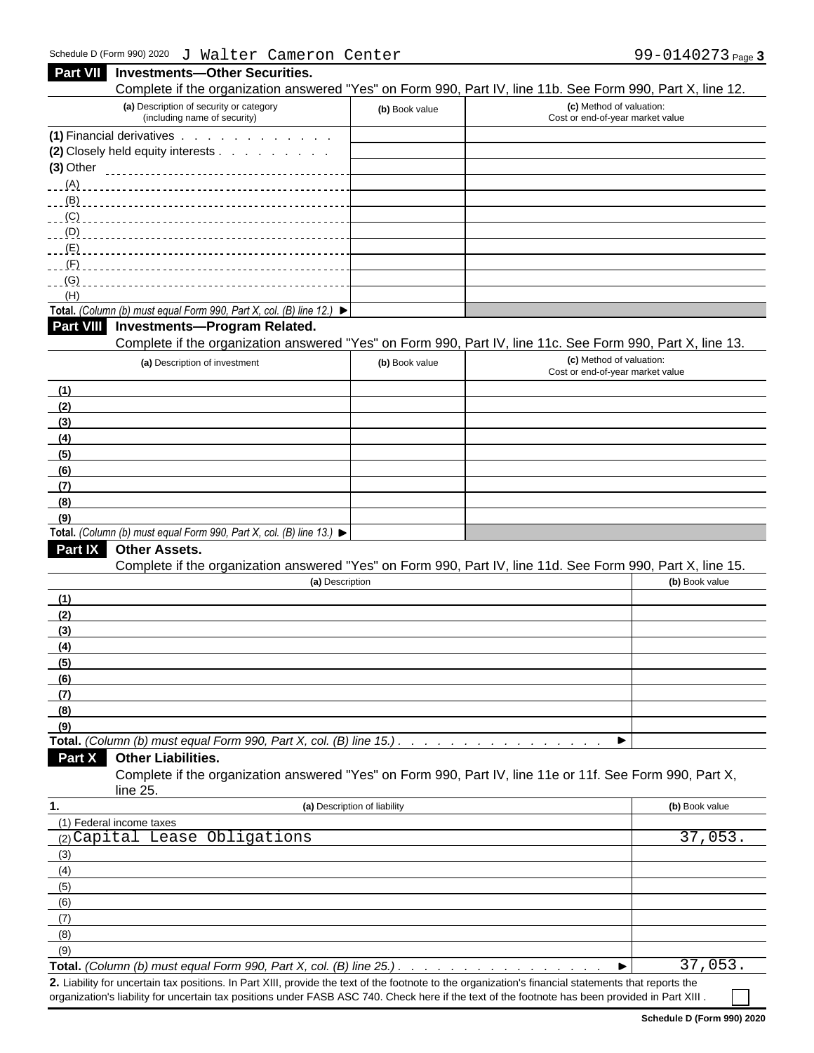| $\sigma$ narch cancreased concer                                                                                                                     |                              | $22$ $22$ $10$ $21$ $2$ $1$ $3$ $10$                                                                                                   |
|------------------------------------------------------------------------------------------------------------------------------------------------------|------------------------------|----------------------------------------------------------------------------------------------------------------------------------------|
| Part VII Investments-Other Securities.                                                                                                               |                              |                                                                                                                                        |
| (a) Description of security or category                                                                                                              |                              | Complete if the organization answered "Yes" on Form 990, Part IV, line 11b. See Form 990, Part X, line 12.<br>(c) Method of valuation: |
| (including name of security)                                                                                                                         | (b) Book value               | Cost or end-of-year market value                                                                                                       |
| (1) Financial derivatives                                                                                                                            |                              |                                                                                                                                        |
| (2) Closely held equity interests<br>$(3)$ Other                                                                                                     |                              |                                                                                                                                        |
|                                                                                                                                                      |                              |                                                                                                                                        |
|                                                                                                                                                      |                              |                                                                                                                                        |
| <u>___(C) _______________</u>                                                                                                                        |                              |                                                                                                                                        |
|                                                                                                                                                      |                              |                                                                                                                                        |
|                                                                                                                                                      |                              |                                                                                                                                        |
| ___(F) ______________                                                                                                                                |                              |                                                                                                                                        |
| (H)                                                                                                                                                  |                              |                                                                                                                                        |
| Total. (Column (b) must equal Form 990, Part X, col. (B) line 12.) $\blacktriangleright$                                                             |                              |                                                                                                                                        |
| Part VIII Investments-Program Related.                                                                                                               |                              |                                                                                                                                        |
|                                                                                                                                                      |                              | Complete if the organization answered "Yes" on Form 990, Part IV, line 11c. See Form 990, Part X, line 13.                             |
| (a) Description of investment                                                                                                                        | (b) Book value               | (c) Method of valuation:<br>Cost or end-of-year market value                                                                           |
| (1)                                                                                                                                                  |                              |                                                                                                                                        |
| (2)                                                                                                                                                  |                              |                                                                                                                                        |
| (3)                                                                                                                                                  |                              |                                                                                                                                        |
| (4)                                                                                                                                                  |                              |                                                                                                                                        |
| (5)                                                                                                                                                  |                              |                                                                                                                                        |
| (6)<br>(7)                                                                                                                                           |                              |                                                                                                                                        |
| (8)                                                                                                                                                  |                              |                                                                                                                                        |
| (9)                                                                                                                                                  |                              |                                                                                                                                        |
| Total. (Column (b) must equal Form 990, Part X, col. (B) line 13.) $\blacktriangleright$                                                             |                              |                                                                                                                                        |
| <b>Part IX Other Assets.</b>                                                                                                                         |                              |                                                                                                                                        |
|                                                                                                                                                      |                              | Complete if the organization answered "Yes" on Form 990, Part IV, line 11d. See Form 990, Part X, line 15.                             |
|                                                                                                                                                      | (a) Description              | (b) Book value                                                                                                                         |
| (1)<br>(2)                                                                                                                                           |                              |                                                                                                                                        |
| (3)                                                                                                                                                  |                              |                                                                                                                                        |
| (4)                                                                                                                                                  |                              |                                                                                                                                        |
| (5)                                                                                                                                                  |                              |                                                                                                                                        |
| (6)                                                                                                                                                  |                              |                                                                                                                                        |
| (7)                                                                                                                                                  |                              |                                                                                                                                        |
| (8)                                                                                                                                                  |                              |                                                                                                                                        |
| (9)<br>Total. (Column (b) must equal Form 990, Part X, col. (B) line 15.).                                                                           |                              | ▶                                                                                                                                      |
| Part X Other Liabilities.                                                                                                                            |                              |                                                                                                                                        |
| line 25.                                                                                                                                             |                              | Complete if the organization answered "Yes" on Form 990, Part IV, line 11e or 11f. See Form 990, Part X,                               |
|                                                                                                                                                      | (a) Description of liability | (b) Book value                                                                                                                         |
| (1) Federal income taxes                                                                                                                             |                              |                                                                                                                                        |
| (2) Capital Lease Obligations                                                                                                                        |                              | 37,053.                                                                                                                                |
| (3)                                                                                                                                                  |                              |                                                                                                                                        |
| (4)                                                                                                                                                  |                              |                                                                                                                                        |
| (5)<br>(6)                                                                                                                                           |                              |                                                                                                                                        |
| (7)                                                                                                                                                  |                              |                                                                                                                                        |
| (8)                                                                                                                                                  |                              |                                                                                                                                        |
| (9)                                                                                                                                                  |                              |                                                                                                                                        |
|                                                                                                                                                      |                              | 37,053.<br>▸                                                                                                                           |
| 2. Liability for uncertain tax positions. In Part XIII, provide the text of the footnote to the organization's financial statements that reports the |                              |                                                                                                                                        |

organization's liability for uncertain tax positions under FASB ASC 740. Check here if the text of the footnote has been provided in Part XIII .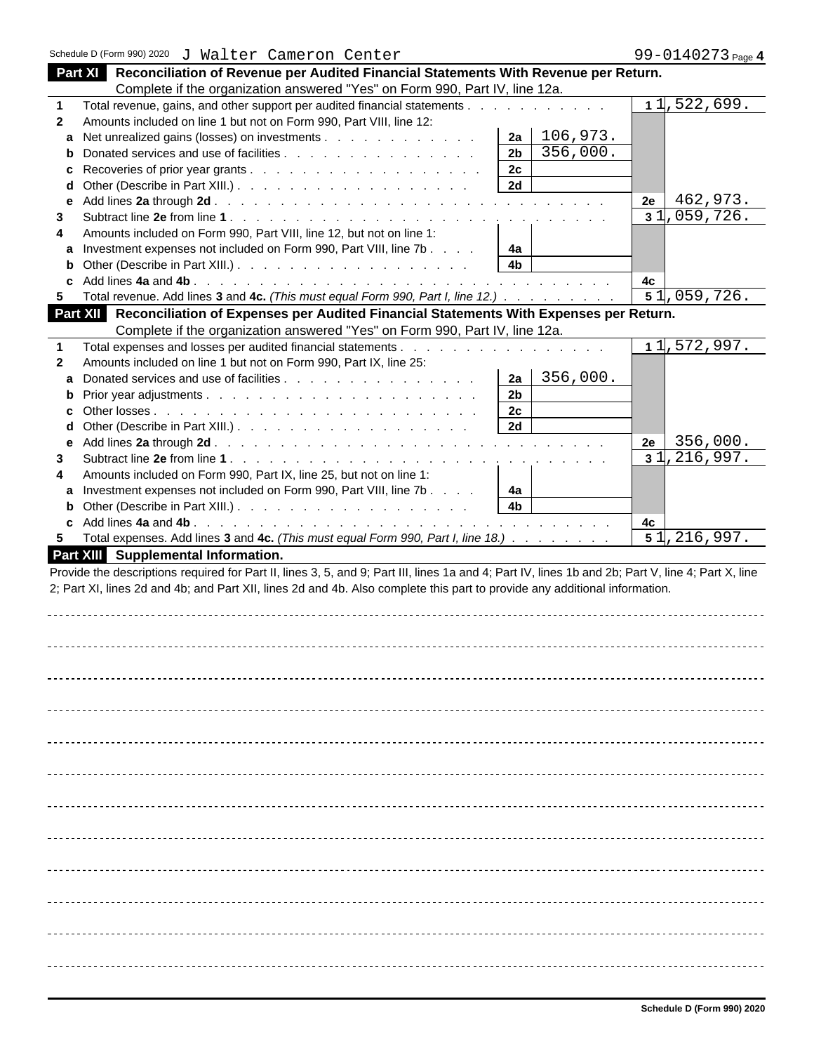| Part XI Reconciliation of Revenue per Audited Financial Statements With Revenue per Return.                                                                                                   |  |
|-----------------------------------------------------------------------------------------------------------------------------------------------------------------------------------------------|--|
| Complete if the organization answered "Yes" on Form 990, Part IV, line 12a.                                                                                                                   |  |
| 11,522,699.<br>Total revenue, gains, and other support per audited financial statements.<br>and a state of the                                                                                |  |
| Amounts included on line 1 but not on Form 990, Part VIII, line 12:<br>$\overline{2}$                                                                                                         |  |
| $2a \mid 106,973.$<br>a Net unrealized gains (losses) on investments                                                                                                                          |  |
| 2b<br>356,000.<br><b>b</b> Donated services and use of facilities                                                                                                                             |  |
|                                                                                                                                                                                               |  |
| 2c<br>2d                                                                                                                                                                                      |  |
| <b>d</b> Other (Describe in Part XIII.). $\ldots$ $\ldots$ $\ldots$ $\ldots$ $\ldots$ $\ldots$ $\ldots$                                                                                       |  |
| 462,973.<br>2e                                                                                                                                                                                |  |
| 31,059,726.                                                                                                                                                                                   |  |
| Amounts included on Form 990, Part VIII, line 12, but not on line 1:                                                                                                                          |  |
| 4a<br>a Investment expenses not included on Form 990, Part VIII, line 7b                                                                                                                      |  |
| 4 <sub>b</sub><br><b>b</b> Other (Describe in Part XIII.). $\ldots$ $\ldots$ $\ldots$ $\ldots$ $\ldots$ $\ldots$ $\ldots$                                                                     |  |
| 4c                                                                                                                                                                                            |  |
| 51,059,726.<br>Total revenue. Add lines 3 and 4c. (This must equal Form 990, Part I, line 12.)                                                                                                |  |
| Part XII Reconciliation of Expenses per Audited Financial Statements With Expenses per Return.                                                                                                |  |
| Complete if the organization answered "Yes" on Form 990, Part IV, line 12a.                                                                                                                   |  |
| 11,572,997.<br>Total expenses and losses per audited financial statements.<br>the contract of the contract of the contract of the contract of the contract of the contract of the contract of |  |
| Amounts included on line 1 but not on Form 990, Part IX, line 25:                                                                                                                             |  |
| $ 2a $ 356,000.<br>a Donated services and use of facilities                                                                                                                                   |  |
| 2 <sub>b</sub>                                                                                                                                                                                |  |
| 2c                                                                                                                                                                                            |  |
| 2d<br><b>d</b> Other (Describe in Part XIII.). $\ldots$ $\ldots$ $\ldots$ $\ldots$ $\ldots$ $\ldots$ $\ldots$                                                                                 |  |
| 356,000.<br>2e                                                                                                                                                                                |  |
| e Add lines 2a through 2d.<br>المتعاون والمتعاون والمتعاون والمتعاون والمتعاونة والمتعاونة والمتعاونة والمتعاونة والمتعاونة والمتعاونة<br>31, 216, 997.<br>Subtract line 2e from line 1.      |  |
| de la caractería de la caractería de la caractería de la caractería de                                                                                                                        |  |
| Amounts included on Form 990, Part IX, line 25, but not on line 1:                                                                                                                            |  |
| 4a<br>a Investment expenses not included on Form 990, Part VIII, line 7b<br>4 <sub>b</sub>                                                                                                    |  |
| <b>b</b> Other (Describe in Part XIII.). $\ldots$ $\ldots$ $\ldots$ $\ldots$ $\ldots$ $\ldots$ $\ldots$                                                                                       |  |
| 4с                                                                                                                                                                                            |  |
| 51, 216, 997.<br>5 Total expenses. Add lines 3 and 4c. (This must equal Form 990, Part I, line 18.)                                                                                           |  |
| Part XIII Supplemental Information.                                                                                                                                                           |  |
| Provide the descriptions required for Part II, lines 3, 5, and 9; Part III, lines 1a and 4; Part IV, lines 1b and 2b; Part V, line 4; Part X, line                                            |  |
| 2; Part XI, lines 2d and 4b; and Part XII, lines 2d and 4b. Also complete this part to provide any additional information.                                                                    |  |
|                                                                                                                                                                                               |  |
|                                                                                                                                                                                               |  |
|                                                                                                                                                                                               |  |
|                                                                                                                                                                                               |  |
|                                                                                                                                                                                               |  |
|                                                                                                                                                                                               |  |
|                                                                                                                                                                                               |  |
|                                                                                                                                                                                               |  |
|                                                                                                                                                                                               |  |
|                                                                                                                                                                                               |  |
|                                                                                                                                                                                               |  |
|                                                                                                                                                                                               |  |
|                                                                                                                                                                                               |  |
|                                                                                                                                                                                               |  |
|                                                                                                                                                                                               |  |
|                                                                                                                                                                                               |  |
|                                                                                                                                                                                               |  |
|                                                                                                                                                                                               |  |
|                                                                                                                                                                                               |  |
|                                                                                                                                                                                               |  |
|                                                                                                                                                                                               |  |
|                                                                                                                                                                                               |  |
|                                                                                                                                                                                               |  |
|                                                                                                                                                                                               |  |
|                                                                                                                                                                                               |  |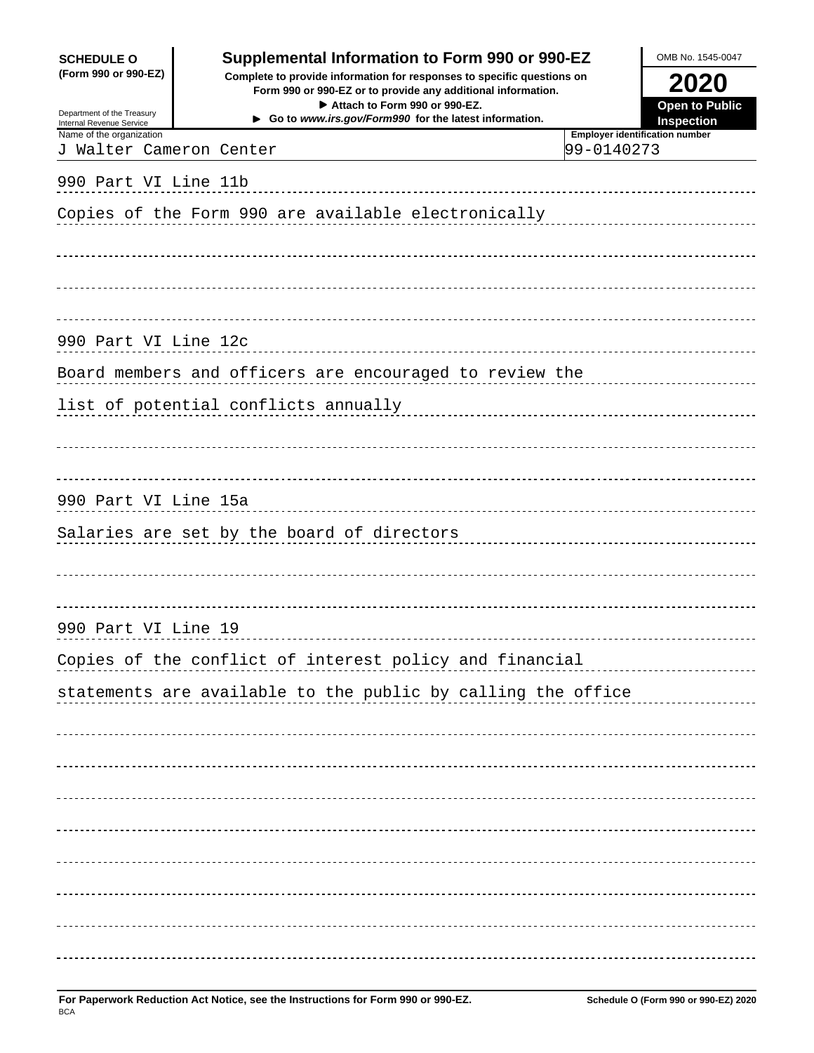| <b>SCHEDULE O</b><br>(Form 990 or 990-EZ)            | Supplemental Information to Form 990 or 990-EZ<br>Complete to provide information for responses to specific questions on<br>Form 990 or 990-EZ or to provide any additional information. |            | OMB No. 1545-0047<br>2020             |
|------------------------------------------------------|------------------------------------------------------------------------------------------------------------------------------------------------------------------------------------------|------------|---------------------------------------|
| Department of the Treasury<br>ternal Revenue Service | Attach to Form 990 or 990-EZ.<br>Go to www.irs.gov/Form990 for the latest information.                                                                                                   |            |                                       |
| Name of the organization<br>J Walter Cameron Center  |                                                                                                                                                                                          | 99-0140273 | <b>Employer identification number</b> |
| 990 Part VI Line 11b                                 |                                                                                                                                                                                          |            |                                       |
|                                                      |                                                                                                                                                                                          |            |                                       |
|                                                      |                                                                                                                                                                                          |            |                                       |
| 990 Part VI Line 12c                                 |                                                                                                                                                                                          |            |                                       |
|                                                      |                                                                                                                                                                                          |            |                                       |
|                                                      |                                                                                                                                                                                          |            |                                       |
| 990 Part VI Line 15a                                 |                                                                                                                                                                                          |            |                                       |
|                                                      |                                                                                                                                                                                          |            |                                       |
| 990 Part VI Line 19                                  |                                                                                                                                                                                          |            |                                       |
|                                                      |                                                                                                                                                                                          |            |                                       |
|                                                      | statements are available to the public by calling the office                                                                                                                             |            |                                       |
|                                                      |                                                                                                                                                                                          |            |                                       |
|                                                      |                                                                                                                                                                                          |            |                                       |
|                                                      |                                                                                                                                                                                          |            |                                       |
|                                                      |                                                                                                                                                                                          |            |                                       |
|                                                      |                                                                                                                                                                                          |            |                                       |
|                                                      |                                                                                                                                                                                          |            |                                       |
|                                                      |                                                                                                                                                                                          |            |                                       |
|                                                      |                                                                                                                                                                                          |            |                                       |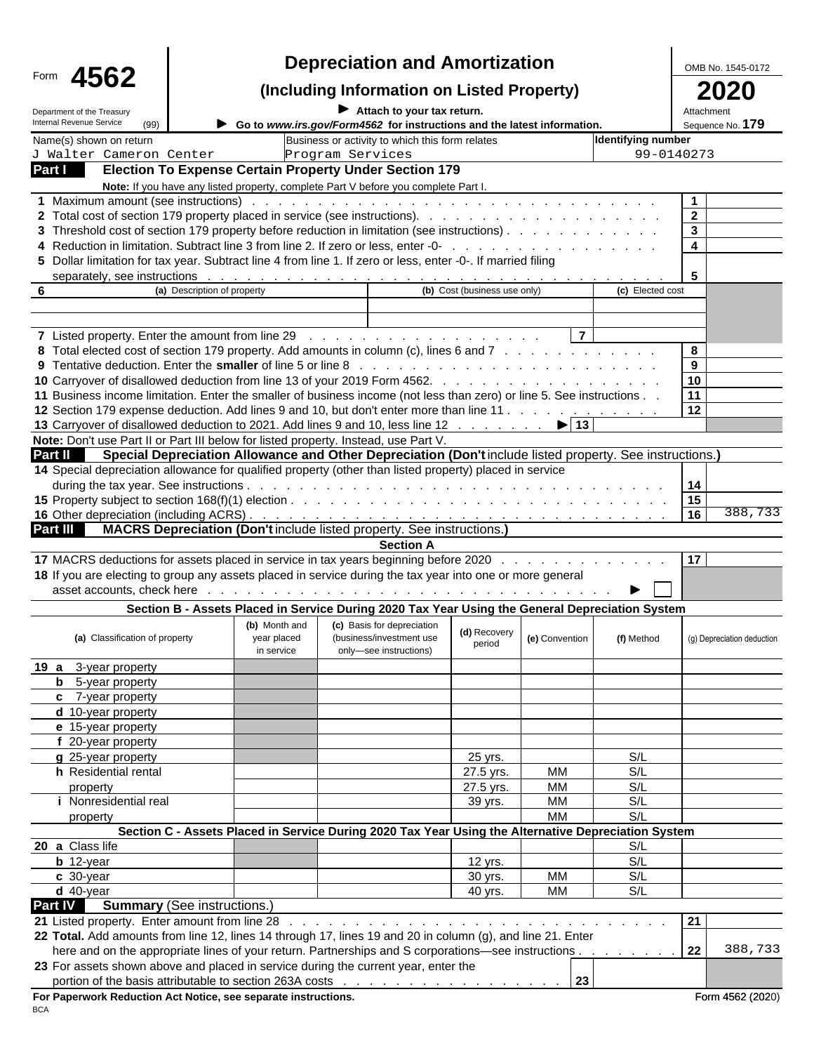|                                                                                                                                                                                                                 |                                                                                                                 | <b>Depreciation and Amortization</b>                                                                                                                                                                                          |                              |                                                 | OMB No. 1545-0172                                     |
|-----------------------------------------------------------------------------------------------------------------------------------------------------------------------------------------------------------------|-----------------------------------------------------------------------------------------------------------------|-------------------------------------------------------------------------------------------------------------------------------------------------------------------------------------------------------------------------------|------------------------------|-------------------------------------------------|-------------------------------------------------------|
| Form 4562                                                                                                                                                                                                       |                                                                                                                 | (Including Information on Listed Property)                                                                                                                                                                                    |                              |                                                 | 2020                                                  |
| Department of the Treasury                                                                                                                                                                                      |                                                                                                                 | $\blacktriangleright$ Attach to your tax return.                                                                                                                                                                              |                              |                                                 | Attachment                                            |
| Internal Revenue Service                                                                                                                                                                                        |                                                                                                                 | Go to www.irs.gov/Form4562 for instructions and the latest information.                                                                                                                                                       |                              |                                                 | Sequence No. 179                                      |
| Name(s) shown on return<br>J Walter Cameron Center                                                                                                                                                              |                                                                                                                 | Business or activity to which this form relates                                                                                                                                                                               |                              |                                                 | <b>Identifying number</b><br>99-0140273               |
| Part I Election To Expense Certain Property Under Section 179                                                                                                                                                   |                                                                                                                 | Program Services                                                                                                                                                                                                              |                              |                                                 |                                                       |
|                                                                                                                                                                                                                 | Note: If you have any listed property, complete Part V before you complete Part I.                              |                                                                                                                                                                                                                               |                              |                                                 |                                                       |
| 1 Maximum amount (see instructions)<br>2 Total cost of section 179 property placed in service (see instructions).<br>3 Threshold cost of section 179 property before reduction in limitation (see instructions) |                                                                                                                 | and a constitution of the constitution of the constitution of the constitution of the constitution of the constitution of the constitution of the constitution of the constitution of the constitution of the constitution of |                              | design and a state of the state of the          | $\begin{array}{ c c } \hline 3 \\ \hline \end{array}$ |
| 4 Reduction in limitation. Subtract line 3 from line 2. If zero or less, enter -0- .                                                                                                                            |                                                                                                                 |                                                                                                                                                                                                                               |                              | the contract of the contract of the contract of | $\vert$ 4                                             |
| 5 Dollar limitation for tax year. Subtract line 4 from line 1. If zero or less, enter -0-. If married filing                                                                                                    |                                                                                                                 |                                                                                                                                                                                                                               |                              |                                                 |                                                       |
|                                                                                                                                                                                                                 | (a) Description of property                                                                                     |                                                                                                                                                                                                                               | (b) Cost (business use only) |                                                 | (c) Elected cost                                      |
|                                                                                                                                                                                                                 |                                                                                                                 |                                                                                                                                                                                                                               |                              |                                                 |                                                       |
|                                                                                                                                                                                                                 |                                                                                                                 |                                                                                                                                                                                                                               |                              |                                                 |                                                       |
| 8 Total elected cost of section 179 property. Add amounts in column (c), lines 6 and 7                                                                                                                          |                                                                                                                 |                                                                                                                                                                                                                               |                              | the contract of the contract of the con-        |                                                       |
| 9 Tentative deduction. Enter the smaller of line 5 or line 8                                                                                                                                                    |                                                                                                                 |                                                                                                                                                                                                                               |                              |                                                 |                                                       |
|                                                                                                                                                                                                                 |                                                                                                                 |                                                                                                                                                                                                                               |                              |                                                 |                                                       |
| 11 Business income limitation. Enter the smaller of business income (not less than zero) or line 5. See instructions.                                                                                           |                                                                                                                 |                                                                                                                                                                                                                               |                              |                                                 |                                                       |
| 12 Section 179 expense deduction. Add lines 9 and 10, but don't enter more than line 11<br>13 Carryover of disallowed deduction to 2021. Add lines 9 and 10, less line 12 15 13                                 |                                                                                                                 |                                                                                                                                                                                                                               |                              |                                                 | 12                                                    |
| Note: Don't use Part II or Part III below for listed property. Instead, use Part V.                                                                                                                             |                                                                                                                 |                                                                                                                                                                                                                               |                              |                                                 |                                                       |
| Part II Special Depreciation Allowance and Other Depreciation (Don't include listed property. See instructions.)                                                                                                |                                                                                                                 |                                                                                                                                                                                                                               |                              |                                                 |                                                       |
| 14 Special depreciation allowance for qualified property (other than listed property) placed in service                                                                                                         |                                                                                                                 |                                                                                                                                                                                                                               |                              |                                                 |                                                       |
|                                                                                                                                                                                                                 |                                                                                                                 |                                                                                                                                                                                                                               |                              |                                                 |                                                       |
|                                                                                                                                                                                                                 |                                                                                                                 |                                                                                                                                                                                                                               |                              |                                                 |                                                       |
| Part III MACRS Depreciation (Don't include listed property. See instructions.)                                                                                                                                  |                                                                                                                 |                                                                                                                                                                                                                               |                              |                                                 |                                                       |
|                                                                                                                                                                                                                 |                                                                                                                 | <b>Section A</b>                                                                                                                                                                                                              |                              |                                                 |                                                       |
| 17 MACRS deductions for assets placed in service in tax years beginning before 2020                                                                                                                             |                                                                                                                 |                                                                                                                                                                                                                               |                              |                                                 |                                                       |
| 18 If you are electing to group any assets placed in service during the tax year into one or more general<br>asset accounts, check here                                                                         |                                                                                                                 | and a constitution of the constitution of the constitution of the constitution of the constitution of the constitution of the constitution of the constitution of the constitution of the constitution of the constitution of |                              |                                                 | $\blacktriangleright$ $\ \cdot\ $                     |
|                                                                                                                                                                                                                 | Section B - Assets Placed in Service During 2020 Tax Year Using the General Depreciation System                 |                                                                                                                                                                                                                               |                              |                                                 |                                                       |
|                                                                                                                                                                                                                 |                                                                                                                 | (b) Month and (c) Basis for depreciation                                                                                                                                                                                      |                              |                                                 |                                                       |
| (a) Classification of property                                                                                                                                                                                  | year placed<br>in service                                                                                       | (business/investment use<br>only-see instructions)                                                                                                                                                                            | (d) Recovery<br>period       | (e) Convention                                  | (f) Method<br>(g) Depreciation deduction              |
| 19 a 3-year property<br><b>b</b> 5-year property                                                                                                                                                                |                                                                                                                 |                                                                                                                                                                                                                               |                              |                                                 |                                                       |
| c 7-year property                                                                                                                                                                                               |                                                                                                                 |                                                                                                                                                                                                                               |                              |                                                 |                                                       |
| d 10-year property                                                                                                                                                                                              |                                                                                                                 |                                                                                                                                                                                                                               |                              |                                                 |                                                       |
| e 15-year property                                                                                                                                                                                              |                                                                                                                 |                                                                                                                                                                                                                               |                              |                                                 |                                                       |
| f 20-year property<br>g 25-year property                                                                                                                                                                        |                                                                                                                 |                                                                                                                                                                                                                               | 25 yrs.                      |                                                 | S/L                                                   |
| h Residential rental                                                                                                                                                                                            |                                                                                                                 |                                                                                                                                                                                                                               | 27.5 yrs.                    | MM                                              | S/L                                                   |
| property                                                                                                                                                                                                        |                                                                                                                 |                                                                                                                                                                                                                               | 27.5 yrs.                    | MM                                              | S/L                                                   |
| <i>i</i> Nonresidential real                                                                                                                                                                                    |                                                                                                                 |                                                                                                                                                                                                                               | 39 yrs.                      | MM                                              | S/L                                                   |
| property                                                                                                                                                                                                        | Section C - Assets Placed in Service During 2020 Tax Year Using the Alternative Depreciation System             |                                                                                                                                                                                                                               |                              | мм                                              | S/L                                                   |
| 20 a Class life                                                                                                                                                                                                 |                                                                                                                 |                                                                                                                                                                                                                               |                              |                                                 | S/L                                                   |
| $b$ 12-year                                                                                                                                                                                                     |                                                                                                                 |                                                                                                                                                                                                                               | 12 yrs.                      |                                                 | S/L                                                   |
| $c$ 30-year                                                                                                                                                                                                     |                                                                                                                 |                                                                                                                                                                                                                               | 30 yrs.                      | MM                                              | S/L                                                   |
| $d$ 40-year<br>Part IV Summary (See instructions.)                                                                                                                                                              |                                                                                                                 |                                                                                                                                                                                                                               | 40 vrs.                      | MM                                              | S/L                                                   |
| 21 Listed property. Enter amount from line 28                                                                                                                                                                   |                                                                                                                 |                                                                                                                                                                                                                               |                              |                                                 | 21                                                    |
| 22 Total. Add amounts from line 12, lines 14 through 17, lines 19 and 20 in column (g), and line 21. Enter                                                                                                      |                                                                                                                 |                                                                                                                                                                                                                               |                              |                                                 |                                                       |
|                                                                                                                                                                                                                 | here and on the appropriate lines of your return. Partnerships and S corporations—see instructions 22   388,733 |                                                                                                                                                                                                                               |                              |                                                 |                                                       |
| 23 For assets shown above and placed in service during the current year, enter the                                                                                                                              |                                                                                                                 |                                                                                                                                                                                                                               |                              |                                                 |                                                       |
| For Paperwork Reduction Act Notice, see separate instructions.                                                                                                                                                  | portion of the basis attributable to section 263A costs                                                         |                                                                                                                                                                                                                               | . 23                         |                                                 | Form 4562 (2020)                                      |
| <b>BCA</b>                                                                                                                                                                                                      |                                                                                                                 |                                                                                                                                                                                                                               |                              |                                                 |                                                       |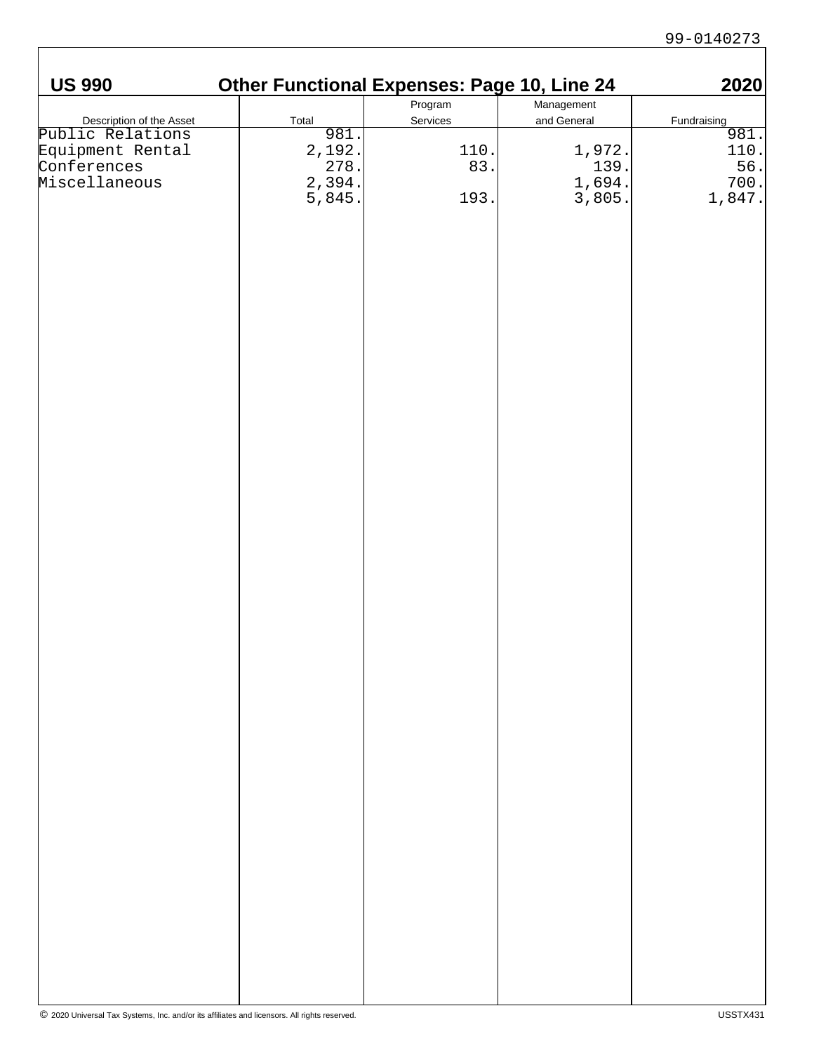| <b>US 990</b>                                                                                    | <b>Other Functional Expenses: Page 10, Line 24</b>                                                                                         |                                           |                                            | 2020                                                                              |
|--------------------------------------------------------------------------------------------------|--------------------------------------------------------------------------------------------------------------------------------------------|-------------------------------------------|--------------------------------------------|-----------------------------------------------------------------------------------|
|                                                                                                  |                                                                                                                                            | Program                                   | Management                                 |                                                                                   |
| Description of the Asset<br>Public Relations<br>Equipment Rental<br>Conferences<br>Miscellaneous | Total                                                                                                                                      | Services                                  | and General                                | Fundraising                                                                       |
|                                                                                                  |                                                                                                                                            |                                           |                                            |                                                                                   |
|                                                                                                  |                                                                                                                                            | $\begin{bmatrix} 110 \\ 83 \end{bmatrix}$ |                                            |                                                                                   |
|                                                                                                  |                                                                                                                                            |                                           |                                            |                                                                                   |
|                                                                                                  | $\begin{array}{r} \n \stackrel{\text{3.81}}{0.81} \\  \hline\n 2,192 \\  \hline\n 278 \\  \hline\n 2,394 \\  \hline\n 5,845\n \end{array}$ |                                           | $1,972.$<br>$139.$<br>$1,694.$<br>$3,805.$ | $\begin{array}{r} \frac{3}{981} \\ 981 \\ 110 \\ 56 \\ 700 \\ 1,847. \end{array}$ |
|                                                                                                  |                                                                                                                                            | 193.                                      |                                            |                                                                                   |
|                                                                                                  |                                                                                                                                            |                                           |                                            |                                                                                   |
|                                                                                                  |                                                                                                                                            |                                           |                                            |                                                                                   |
|                                                                                                  |                                                                                                                                            |                                           |                                            |                                                                                   |
|                                                                                                  |                                                                                                                                            |                                           |                                            |                                                                                   |
|                                                                                                  |                                                                                                                                            |                                           |                                            |                                                                                   |
|                                                                                                  |                                                                                                                                            |                                           |                                            |                                                                                   |
|                                                                                                  |                                                                                                                                            |                                           |                                            |                                                                                   |
|                                                                                                  |                                                                                                                                            |                                           |                                            |                                                                                   |
|                                                                                                  |                                                                                                                                            |                                           |                                            |                                                                                   |
|                                                                                                  |                                                                                                                                            |                                           |                                            |                                                                                   |
|                                                                                                  |                                                                                                                                            |                                           |                                            |                                                                                   |
|                                                                                                  |                                                                                                                                            |                                           |                                            |                                                                                   |
|                                                                                                  |                                                                                                                                            |                                           |                                            |                                                                                   |
|                                                                                                  |                                                                                                                                            |                                           |                                            |                                                                                   |
|                                                                                                  |                                                                                                                                            |                                           |                                            |                                                                                   |
|                                                                                                  |                                                                                                                                            |                                           |                                            |                                                                                   |
|                                                                                                  |                                                                                                                                            |                                           |                                            |                                                                                   |
|                                                                                                  |                                                                                                                                            |                                           |                                            |                                                                                   |
|                                                                                                  |                                                                                                                                            |                                           |                                            |                                                                                   |
|                                                                                                  |                                                                                                                                            |                                           |                                            |                                                                                   |
|                                                                                                  |                                                                                                                                            |                                           |                                            |                                                                                   |
|                                                                                                  |                                                                                                                                            |                                           |                                            |                                                                                   |
|                                                                                                  |                                                                                                                                            |                                           |                                            |                                                                                   |
|                                                                                                  |                                                                                                                                            |                                           |                                            |                                                                                   |
|                                                                                                  |                                                                                                                                            |                                           |                                            |                                                                                   |
|                                                                                                  |                                                                                                                                            |                                           |                                            |                                                                                   |
|                                                                                                  |                                                                                                                                            |                                           |                                            |                                                                                   |
|                                                                                                  |                                                                                                                                            |                                           |                                            |                                                                                   |
|                                                                                                  |                                                                                                                                            |                                           |                                            |                                                                                   |
|                                                                                                  |                                                                                                                                            |                                           |                                            |                                                                                   |
|                                                                                                  |                                                                                                                                            |                                           |                                            |                                                                                   |
|                                                                                                  |                                                                                                                                            |                                           |                                            |                                                                                   |
|                                                                                                  |                                                                                                                                            |                                           |                                            |                                                                                   |
|                                                                                                  |                                                                                                                                            |                                           |                                            |                                                                                   |
|                                                                                                  |                                                                                                                                            |                                           |                                            |                                                                                   |
|                                                                                                  |                                                                                                                                            |                                           |                                            |                                                                                   |
|                                                                                                  |                                                                                                                                            |                                           |                                            |                                                                                   |
|                                                                                                  |                                                                                                                                            |                                           |                                            |                                                                                   |
|                                                                                                  |                                                                                                                                            |                                           |                                            |                                                                                   |
|                                                                                                  |                                                                                                                                            |                                           |                                            |                                                                                   |
|                                                                                                  |                                                                                                                                            |                                           |                                            |                                                                                   |
|                                                                                                  |                                                                                                                                            |                                           |                                            |                                                                                   |
|                                                                                                  |                                                                                                                                            |                                           |                                            |                                                                                   |
|                                                                                                  |                                                                                                                                            |                                           |                                            |                                                                                   |
|                                                                                                  |                                                                                                                                            |                                           |                                            |                                                                                   |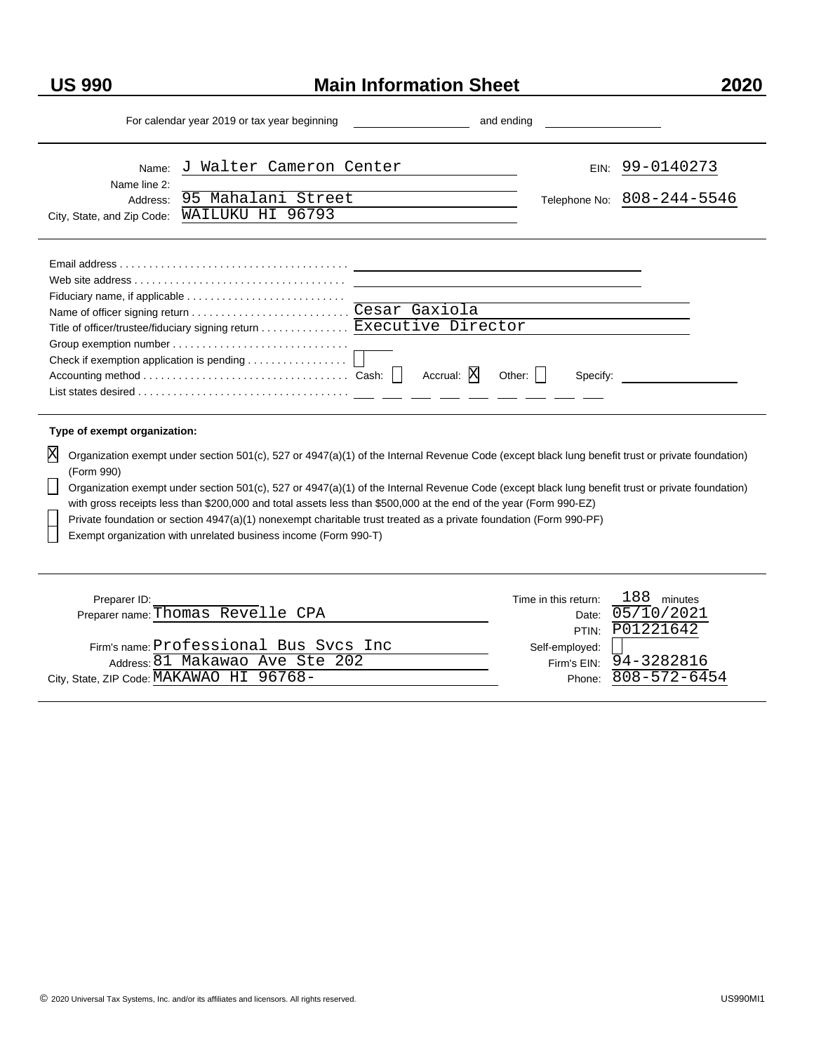$\overline{a}$ 

Ē.

#### **US 990 Main Information Sheet**

| For calendar year 2019 or tax year beginning                                                                                                                                                                                                                                                                                                                                                                                                                                                                                                                                                                                    | and ending                                                              |  |
|---------------------------------------------------------------------------------------------------------------------------------------------------------------------------------------------------------------------------------------------------------------------------------------------------------------------------------------------------------------------------------------------------------------------------------------------------------------------------------------------------------------------------------------------------------------------------------------------------------------------------------|-------------------------------------------------------------------------|--|
| Walter Cameron Center<br>$\overline{J}$<br>Name:<br>Name line 2:<br>95 Mahalani Street<br>Address:<br>WAILUKU HI 96793<br>City, State, and Zip Code:                                                                                                                                                                                                                                                                                                                                                                                                                                                                            | EIN: 99-0140273<br>Telephone No: 808-244-5546                           |  |
| Title of officer/trustee/fiduciary signing return  Executive Director<br>Accrual: X                                                                                                                                                                                                                                                                                                                                                                                                                                                                                                                                             | Specify:                                                                |  |
| Type of exempt organization:                                                                                                                                                                                                                                                                                                                                                                                                                                                                                                                                                                                                    |                                                                         |  |
| Organization exempt under section 501(c), 527 or 4947(a)(1) of the Internal Revenue Code (except black lung benefit trust or private foundation)<br>(Form 990)<br>Organization exempt under section 501(c), 527 or 4947(a)(1) of the Internal Revenue Code (except black lung benefit trust or private foundation)<br>with gross receipts less than \$200,000 and total assets less than \$500,000 at the end of the year (Form 990-EZ)<br>Private foundation or section 4947(a)(1) nonexempt charitable trust treated as a private foundation (Form 990-PF)<br>Exempt organization with unrelated business income (Form 990-T) |                                                                         |  |
| Preparer ID:<br>Preparer name: Thomas Revelle CPA                                                                                                                                                                                                                                                                                                                                                                                                                                                                                                                                                                               | 188 minutes<br>Time in this return:<br>05/10/2021<br>Date:<br>P01221642 |  |
| Firm's name: Professional Bus Svcs Inc<br>Address: 81 Makawao Ave Ste 202                                                                                                                                                                                                                                                                                                                                                                                                                                                                                                                                                       | PTIN:<br>Self-employed:<br>Firm's EIN: 94-3282816                       |  |

City, State, ZIP Code: MAKAWAO HI 96768-<br>
Phone: 808-572-6454

808-572-6454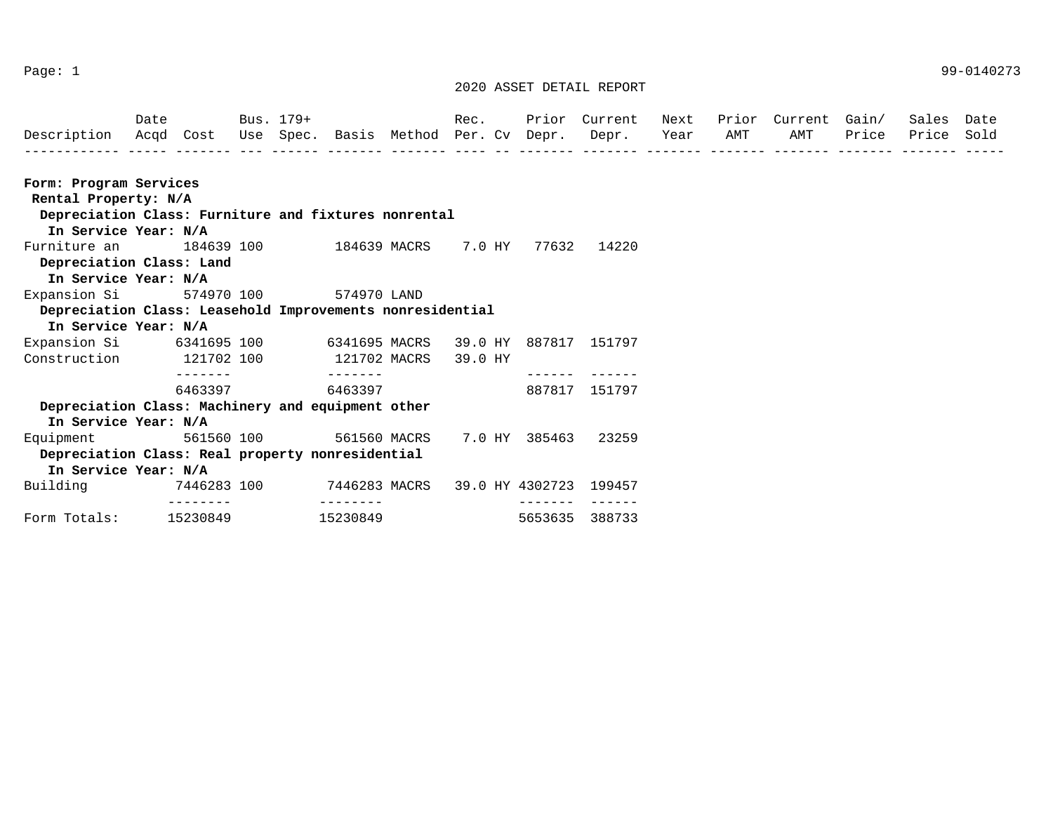Page: 1 99-0140273

| Form: Program Services   |                                                   |                                                           |                 |                              |                           |
|--------------------------|---------------------------------------------------|-----------------------------------------------------------|-----------------|------------------------------|---------------------------|
| Rental Property: N/A     |                                                   |                                                           |                 |                              |                           |
|                          |                                                   | Depreciation Class: Furniture and fixtures nonrental      |                 |                              |                           |
| In Service Year: N/A     |                                                   |                                                           |                 |                              |                           |
| Furniture an             | 184639 100                                        | 184639 MACRS                                              | 7.0 HY          | 77632                        | 14220                     |
| Depreciation Class: Land |                                                   |                                                           |                 |                              |                           |
| In Service Year: N/A     |                                                   |                                                           |                 |                              |                           |
| Expansion Si             | 574970 100                                        | 574970 LAND                                               |                 |                              |                           |
|                          |                                                   | Depreciation Class: Leasehold Improvements nonresidential |                 |                              |                           |
| In Service Year: N/A     |                                                   |                                                           |                 |                              |                           |
| Expansion Si             | 6341695 100                                       | 6341695 MACRS                                             | 39.0 HY         | 887817                       | 151797                    |
| Construction             | 121702 100                                        | 121702 MACRS                                              | 39.0 HY         |                              |                           |
|                          | -------<br>6463397                                | -------<br>6463397                                        |                 |                              | 887817 151797             |
|                          | Depreciation Class: Machinery and equipment other |                                                           |                 |                              |                           |
| In Service Year: N/A     |                                                   |                                                           |                 |                              |                           |
| Equipment                | 561560 100                                        | 561560 MACRS                                              | 7.0 HY          | 385463                       | 23259                     |
|                          | Depreciation Class: Real property nonresidential  |                                                           |                 |                              |                           |
| In Service Year: N/A     |                                                   |                                                           |                 |                              |                           |
| Building                 | 7446283 100                                       | 7446283 MACRS                                             | 39.0 HY 4302723 |                              | 199457                    |
| Form Totals:             | --------<br>15230849                              | --------<br>15230849                                      |                 | $- - - - - - - -$<br>5653635 | $- - - - - - -$<br>388733 |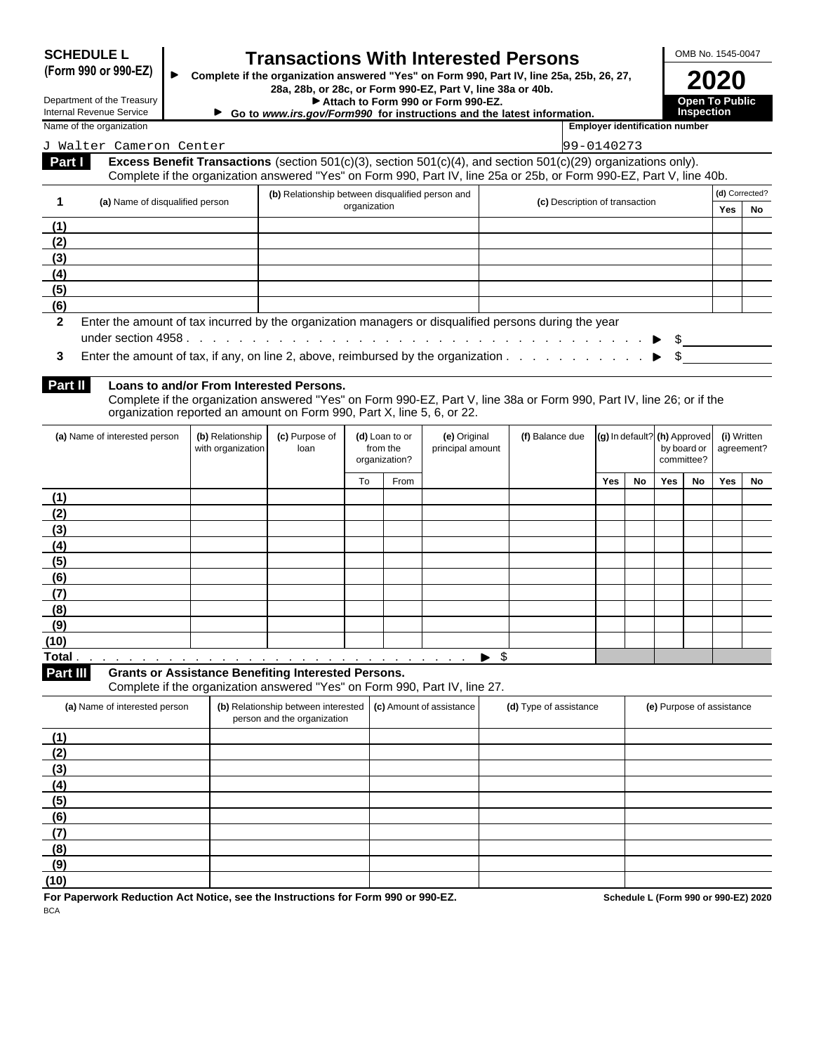| <b>SCHEDULE L</b> |  |
|-------------------|--|
|-------------------|--|

## **SCHEDULE L Transactions With Interested Persons** FOMB No. 1545-0047<br>(Form 990 or 990-EZ)

**(Form 990 or 990-EZ) Complete if the organization answered "Yes" on Form 990, Part IV, line 25a, 25b, 26, 27, 28a, 28b, or 28c, or Form 990-EZ, Part V, line 38a or 40b. 2020**

Department of the Treasury **Attach to Form 990 or Form 990-EZ.** Open To Public<br>Internal Revenue Service **Attach to Form 990 for instructions and the latest information.** Inspection

**Go** to *www.irs.gov/Form990* for instructions and the latest information.

|  | 2020 |  |  |
|--|------|--|--|

J Walter Cameron Center 99-0140273

| Name of the  | .                       |
|--------------|-------------------------|
| organization | _mplover identification |
|              | number                  |
|              |                         |

|  | 9-0140273 |  |
|--|-----------|--|

| Complete if the organization answered "Yes" on Form 990, Part IV, line 25a or 25b, or Form 990-EZ, Part V, line 40b. | Part I | <b>Excess Benefit Transactions</b> (section 501(c)(3), section 501(c)(4), and section 501(c)(29) organizations only). |  |
|----------------------------------------------------------------------------------------------------------------------|--------|-----------------------------------------------------------------------------------------------------------------------|--|
|                                                                                                                      |        |                                                                                                                       |  |

|     | (a) Name of disqualified person | (b) Relationship between disqualified person and                                                        | (c) Description of transaction | (d) Corrected? |    |  |
|-----|---------------------------------|---------------------------------------------------------------------------------------------------------|--------------------------------|----------------|----|--|
|     |                                 | organization                                                                                            |                                | Yes            | No |  |
| (1) |                                 |                                                                                                         |                                |                |    |  |
| (2) |                                 |                                                                                                         |                                |                |    |  |
| (3) |                                 |                                                                                                         |                                |                |    |  |
| (4) |                                 |                                                                                                         |                                |                |    |  |
| (5) |                                 |                                                                                                         |                                |                |    |  |
| (6) |                                 |                                                                                                         |                                |                |    |  |
|     |                                 | 2 Enter the amount of tax incurred by the organization managers or disqualified persons during the year |                                |                |    |  |

**3** Enter the amount of tax, if any, on line 2, above, reimbursed by the organization . . . . . . . . . . . ▶ \$

#### **Part II Loans to and/or From Interested Persons.**

Complete if the organization answered "Yes" on Form 990-EZ, Part V, line 38a or Form 990, Part IV, line 26; or if the organization reported an amount on Form 990, Part X, line 5, 6, or 22.

| (a) Name of interested person | (b) Relationship<br>with organization | (c) Purpose of<br>loan |    | (d) Loan to or<br>from the<br>organization? | (e) Original<br>principal amount | (f) Balance due $\left  \right $ (g) In default? (h) Approved |     |    | by board or   agreement?<br>committee? |    | (i) Written |  |
|-------------------------------|---------------------------------------|------------------------|----|---------------------------------------------|----------------------------------|---------------------------------------------------------------|-----|----|----------------------------------------|----|-------------|--|
|                               |                                       |                        | To | From                                        |                                  |                                                               | Yes | No | Yes                                    | No | Yes No      |  |
| (1)                           |                                       |                        |    |                                             |                                  |                                                               |     |    |                                        |    |             |  |
| (2)                           |                                       |                        |    |                                             |                                  |                                                               |     |    |                                        |    |             |  |
| (3)                           |                                       |                        |    |                                             |                                  |                                                               |     |    |                                        |    |             |  |
| (4)                           |                                       |                        |    |                                             |                                  |                                                               |     |    |                                        |    |             |  |
| (5)                           |                                       |                        |    |                                             |                                  |                                                               |     |    |                                        |    |             |  |
| (6)                           |                                       |                        |    |                                             |                                  |                                                               |     |    |                                        |    |             |  |
| (7)                           |                                       |                        |    |                                             |                                  |                                                               |     |    |                                        |    |             |  |
| (8)                           |                                       |                        |    |                                             |                                  |                                                               |     |    |                                        |    |             |  |
| (9)                           |                                       |                        |    |                                             |                                  |                                                               |     |    |                                        |    |             |  |
| (10)                          |                                       |                        |    |                                             |                                  |                                                               |     |    |                                        |    |             |  |
|                               |                                       |                        |    |                                             | $\triangleright$ s               |                                                               |     |    |                                        |    |             |  |

**Part III Grants or Assistance Benefiting Interested Persons.**

Complete if the organization answered "Yes" on Form 990, Part IV, line 27.

|      | (a) Name of interested person | (b) Relationship between interested (c) Amount of assistance<br>person and the organization | (d) Type of assistance | (e) Purpose of assistance |
|------|-------------------------------|---------------------------------------------------------------------------------------------|------------------------|---------------------------|
|      | (1)                           |                                                                                             |                        |                           |
|      | (2)                           |                                                                                             |                        |                           |
|      | (3)                           |                                                                                             |                        |                           |
|      | (4)                           |                                                                                             |                        |                           |
|      | (5)                           |                                                                                             |                        |                           |
|      | (6)                           |                                                                                             |                        |                           |
| (7)  |                               |                                                                                             |                        |                           |
|      | (8)                           |                                                                                             |                        |                           |
|      | (9)                           |                                                                                             |                        |                           |
| (10) |                               |                                                                                             |                        |                           |

**For Paperwork Reduction Act Notice, see the Instructions for Form 990 or 990-EZ. Schedule L (Form 990 or 990-EZ) 2020 BCA BCA**